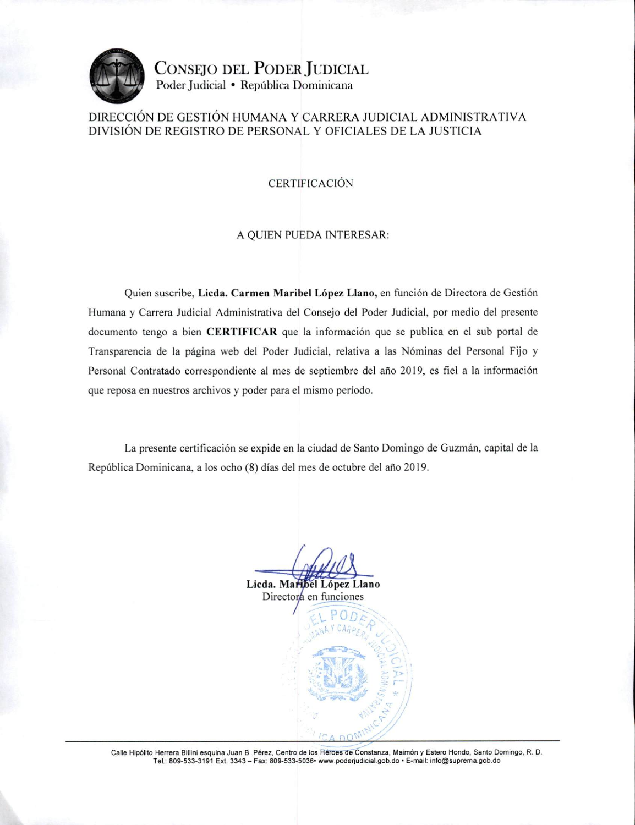

CONSEJO DEL PODER JUDICIAL Poder Judicial · República Dominicana

### DIRECCIÓN DE GESTIÓN HUMANA Y CARRERA JUDICIAL ADMINISTRATIVA DIVISIÓN DE REGISTRO DE PERSONAL Y OFICIALES DE LA JUSTICIA

### **CERTIFICACIÓN**

#### A QUIEN PUEDA INTERESAR:

Quien suscribe, Licda. Carmen Maribel López Llano, en función de Directora de Gestión Humana y Carrera Judicial Administrativa del Consejo del Poder Judicial, por medio del presente documento tengo a bien CERTIFICAR que la información que se publica en el sub portal de Transparencia de la página web del Poder Judicial, relativa a las Nóminas del Personal Fijo y Personal Contratado correspondiente al mes de septiembre del año 2019, es fiel a la información que reposa en nuestros archivos y poder para el mismo período.

La presente certificación se expide en la ciudad de Santo Domingo de Guzmán, capital de la República Dominicana, a los ocho (8) días del mes de octubre del año 2019.

Licda. Maribel López Llano

Directora en funciones

Calle Hipólito Herrera Billini esquina Juan B. Pérez, Centro de los Héroes de Constanza, Maimón y Estero Hondo, Santo Domingo, R. D. Tel.: 809-533-3191 Ext. 3343 - Fax: 809-533-5036 · www.poderjudicial.gob.do · E-mail: info@suprema.gob.do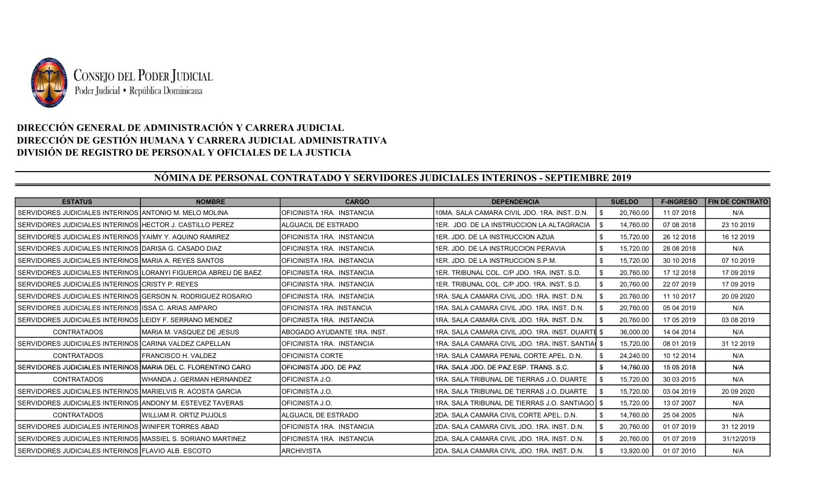

## DIRECCIÓN GENERAL DE ADMINISTRACIÓN Y CARRERA JUDICIAL DIRECCIÓN DE GESTIÓN HUMANA Y CARRERA JUDICIAL ADMINISTRATIVA DIVISIÓN DE REGISTRO DE PERSONAL Y OFICIALES DE LA JUSTICIA

# NÓMINA DE PERSONAL CONTRATADO Y SERVIDORES JUDICIALES INTERINOS - SEPTIEMBRE 2019

| <b>ESTATUS</b>                                                  | <b>NOMBRE</b>                  | <b>CARGO</b>                | <b>DEPENDENCIA</b>                                 | <b>SUELDO</b> | <b>F-INGRESO</b> | <b>FIN DE CONTRATO</b> |
|-----------------------------------------------------------------|--------------------------------|-----------------------------|----------------------------------------------------|---------------|------------------|------------------------|
| I SERVIDORES JUDICIALES INTERINOS IANTONIO M. MELO MOLINA       |                                | OFICINISTA 1RA. INSTANCIA   | 10MA. SALA CAMARA CIVIL JDO. 1RA. INST. D.N.       | 20.760.00     | 11 07 2018       | N/A                    |
| SERVIDORES JUDICIALES INTERINOS HECTOR J. CASTILLO PEREZ        |                                | ALGUACIL DE ESTRADO         | 1ER. JDO. DE LA INSTRUCCION LA ALTAGRACIA          | 14.760.00     | 07 08 2018       | 23 10 2019             |
| SERVIDORES JUDICIALES INTERINOS YAIMY Y. AQUINO RAMIREZ         |                                | IOFICINISTA 1RA. INSTANCIA  | I1ER. JDO. DE LA INSTRUCCION AZUA                  | 15,720.00     | 26 12 2018       | 16 12 2019             |
| SERVIDORES JUDICIALES INTERINOS   DARISA G. CASADO DIAZ         |                                | OFICINISTA 1RA. INSTANCIA   | 1ER. JDO. DE LA INSTRUCCION PERAVIA                | 15,720.00     | 28 08 2018       | N/A                    |
| SERVIDORES JUDICIALES INTERINOS IMARIA A. REYES SANTOS          |                                | OFICINISTA 1RA. INSTANCIA   | 1ER. JDO. DE LA INSTRUCCION S.P.M.                 | 15,720.00     | 30 10 2018       | 07 10 2019             |
| SERVIDORES JUDICIALES INTERINOS LLORANYI FIGUEROA ABREU DE BAEZ |                                | IOFICINISTA 1RA. INSTANCIA  | 1 IER. TRIBUNAL COL. C/P JDO. 1RA. INST. S.D.      | 20,760.00     | 17 12 2018       | 17 09 2019             |
| SERVIDORES JUDICIALES INTERINOS CRISTY P. REYES                 |                                | IOFICINISTA 1RA. INSTANCIA  | 1ER. TRIBUNAL COL. C/P JDO. 1RA. INST. S.D.        | 20,760.00     | 22 07 2019       | 17 09 2019             |
| I SERVIDORES JUDICIALES INTERINOS IGERSON N. RODRIGUEZ ROSARIO  |                                | IOFICINISTA 1RA. INSTANCIA  | I1RA. SALA CAMARA CIVIL JDO. 1RA. INST. D.N.       | 20,760.00     | 11 10 2017       | 20 09 20 20            |
| I SERVIDORES JUDICIALES INTERINOS IISSA C. ARIAS AMPARO         |                                | OFICINISTA 1RA. INSTANCIA   | 1RA, SALA CAMARA CIVIL JDO, 1RA, INST, D.N.        | 20.760.00     | 05 04 2019       | N/A                    |
| I SERVIDORES JUDICIALES INTERINOS ILEIDY F. SERRANO MENDEZ      |                                | IOFICINISTA 1RA. INSTANCIA  | I1RA. SALA CAMARA CIVIL JDO. 1RA. INST. D.N.       | 20.760.00     | 17 05 2019       | 03 08 2019             |
| <b>CONTRATADOS</b>                                              | IMARIA M. VASQUEZ DE JESUS     | ABOGADO AYUDANTE 1RA. INST. | I1RA. SALA CAMARA CIVIL JDO. 1RA. INST. DUARTE \$  | 36,000.00     | 14 04 2014       | N/A                    |
| I SERVIDORES JUDICIALES INTERINOS ICARINA VALDEZ CAPELLAN       |                                | OFICINISTA 1RA. INSTANCIA   | I1RA. SALA CAMARA CIVIL JDO. 1RA. INST. SANTIAI \$ | 15,720.00     | 08 01 2019       | 31 12 2019             |
| <b>CONTRATADOS</b>                                              | FRANCISCO H. VALDEZ            | IOFICINISTA CORTE           | I1RA. SALA CAMARA PENAL CORTE APEL. D.N.           | 24.240.00     | 10 12 2014       | N/A                    |
| I SERVIDORES JUDICIALES INTERINOS IMARIA DEL C. FLORENTINO CARO |                                | IOFICINISTA JDO. DE PAZ     | l1RA. SALA JDO. DE PAZ ESP. TRANS. S.C.            | 14.760.00     | 15 05 2018       | N/A                    |
| <b>CONTRATADOS</b>                                              | IWHANDA J. GERMAN HERNANDEZ    | IOFICINISTA J.O.            | 1RA. SALA TRIBUNAL DE TIERRAS J.O. DUARTE          | 15,720.00     | 30 03 2015       | N/A                    |
| SERVIDORES JUDICIALES INTERINOS MARIELVIS R. ACOSTA GARCIA      |                                | OFICINISTA J.O.             | 1RA, SALA TRIBUNAL DE TIERRAS J.O. DUARTE          | 15,720.00     | 03 04 2019       | 20 09 20 20            |
| I SERVIDORES JUDICIALES INTERINOS IANDONY M. ESTEVEZ TAVERAS    |                                | IOFICINISTA J.O.            | I1RA. SALA TRIBUNAL DE TIERRAS J.O. SANTIAGOI \$   | 15.720.00     | 13 07 2007       | N/A                    |
| <b>CONTRATADOS</b>                                              | <b>WILLIAM R. ORTIZ PUJOLS</b> | <b>ALGUACIL DE ESTRADO</b>  | I2DA. SALA CAMARA CIVIL CORTE APEL. D.N.           | 14.760.00     | 25 04 2005       | N/A                    |
| I SERVIDORES JUDICIALES INTERINOS IWINIFER TORRES ABAD          |                                | OFICINISTA 1RA. INSTANCIA   | I2DA. SALA CAMARA CIVIL JDO. 1RA. INST. D.N.       | 20,760.00     | 01 07 2019       | 31 12 2019             |
| SERVIDORES JUDICIALES INTERINOS MASSIEL S. SORIANO MARTINEZ     |                                | OFICINISTA 1RA. INSTANCIA   | 2DA, SALA CAMARA CIVIL JDO, 1RA, INST, D.N.        | 20,760.00     | 01 07 2019       | 31/12/2019             |
| I SERVIDORES JUDICIALES INTERINOS IFLAVIO ALB. ESCOTO           |                                | <b>ARCHIVISTA</b>           | 2DA, SALA CAMARA CIVIL JDO, 1RA, INST, D.N.        | 13.920.00     | 01 07 2010       | N/A                    |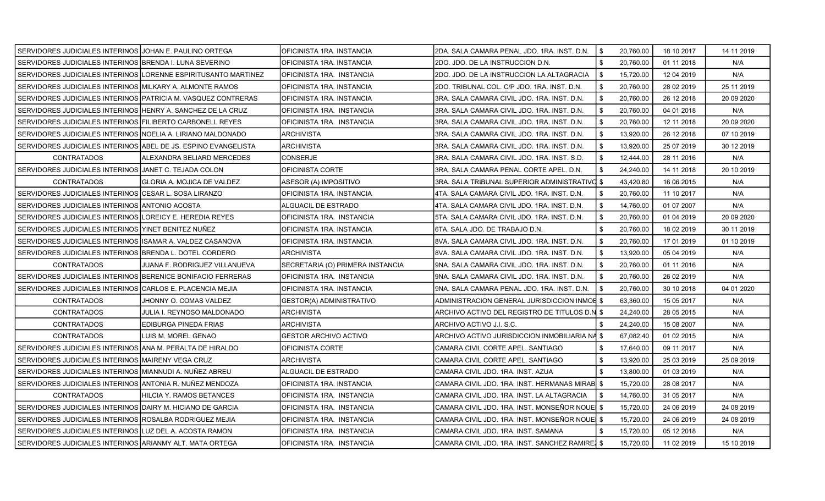| SERVIDORES JUDICIALES INTERINOS JJOHAN E. PAULINO ORTEGA       |                                                                | OFICINISTA 1RA. INSTANCIA        | 2DA. SALA CAMARA PENAL JDO. 1RA. INST. D.N.     | \$  | 20,760.00 | 18 10 2017 | 14 11 2019  |
|----------------------------------------------------------------|----------------------------------------------------------------|----------------------------------|-------------------------------------------------|-----|-----------|------------|-------------|
| SERVIDORES JUDICIALES INTERINOS BRENDA I. LUNA SEVERINO        |                                                                | OFICINISTA 1RA. INSTANCIA        | 2DO. JDO. DE LA INSTRUCCION D.N.                | \$. | 20,760.00 | 01 11 2018 | N/A         |
|                                                                | SERVIDORES JUDICIALES INTERINOS LORENNE ESPIRITUSANTO MARTINEZ | OFICINISTA 1RA. INSTANCIA        | 2DO. JDO. DE LA INSTRUCCION LA ALTAGRACIA       | \$  | 15,720.00 | 12 04 2019 | N/A         |
| SERVIDORES JUDICIALES INTERINOS MILKARY A. ALMONTE RAMOS       |                                                                | OFICINISTA 1RA. INSTANCIA        | 2DO. TRIBUNAL COL. C/P JDO. 1RA. INST. D.N.     | \$  | 20,760.00 | 28 02 2019 | 25 11 2019  |
| SERVIDORES JUDICIALES INTERINOS PATRICIA M. VASQUEZ CONTRERAS  |                                                                | OFICINISTA 1RA. INSTANCIA        | 3RA. SALA CAMARA CIVIL JDO. 1RA. INST. D.N.     | \$  | 20,760.00 | 26 12 2018 | 20 09 20 20 |
| SERVIDORES JUDICIALES INTERINOS HENRY A. SANCHEZ DE LA CRUZ    |                                                                | OFICINISTA 1RA. INSTANCIA        | 3RA. SALA CAMARA CIVIL JDO. 1RA. INST. D.N.     | \$  | 20,760.00 | 04 01 2018 | N/A         |
| SERVIDORES JUDICIALES INTERINOS FILIBERTO CARBONELL REYES      |                                                                | OFICINISTA 1RA. INSTANCIA        | 3RA. SALA CAMARA CIVIL JDO. 1RA. INST. D.N.     | \$  | 20,760.00 | 12 11 2018 | 20 09 20 20 |
| SERVIDORES JUDICIALES INTERINOS NOELIA A. LIRIANO MALDONADO    |                                                                | ARCHIVISTA                       | 3RA. SALA CAMARA CIVIL JDO. 1RA. INST. D.N.     | \$  | 13,920.00 | 26 12 2018 | 07 10 2019  |
| SERVIDORES JUDICIALES INTERINOS ABEL DE JS. ESPINO EVANGELISTA |                                                                | ARCHIVISTA                       | 3RA. SALA CAMARA CIVIL JDO. 1RA. INST. D.N.     | \$  | 13,920.00 | 25 07 2019 | 30 12 2019  |
| <b>CONTRATADOS</b>                                             | ALEXANDRA BELIARD MERCEDES                                     | <b>CONSERJE</b>                  | 3RA. SALA CAMARA CIVIL JDO. 1RA. INST. S.D.     | \$  | 12,444.00 | 28 11 2016 | N/A         |
| SERVIDORES JUDICIALES INTERINOS JJANET C. TEJADA COLON         |                                                                | OFICINISTA CORTE                 | 3RA. SALA CAMARA PENAL CORTE APEL. D.N.         | \$  | 24,240.00 | 14 11 2018 | 20 10 2019  |
| <b>CONTRATADOS</b>                                             | IGLORIA A. MOJICA DE VALDEZ                                    | ASESOR (A) IMPOSITIVO            | 3RA. SALA TRIBUNAL SUPERIOR ADMINISTRATIVO \$   |     | 43,420.80 | 16 06 2015 | N/A         |
| SERVIDORES JUDICIALES INTERINOS CESAR L. SOSA LIRANZO          |                                                                | OFICINISTA 1RA. INSTANCIA        | 4TA. SALA CAMARA CIVIL JDO. 1RA. INST. D.N.     |     | 20,760.00 | 11 10 2017 | N/A         |
| SERVIDORES JUDICIALES INTERINOS ANTONIO ACOSTA                 |                                                                | ALGUACIL DE ESTRADO              | 4TA. SALA CAMARA CIVIL JDO. 1RA. INST. D.N.     | \$  | 14,760.00 | 01 07 2007 | N/A         |
| SERVIDORES JUDICIALES INTERINOS LOREICY E. HEREDIA REYES       |                                                                | OFICINISTA 1RA. INSTANCIA        | 5TA. SALA CAMARA CIVIL JDO. 1RA. INST. D.N.     | \$  | 20,760.00 | 01 04 2019 | 20 09 20 20 |
| SERVIDORES JUDICIALES INTERINOS YINET BENITEZ NUÑEZ            |                                                                | OFICINISTA 1RA. INSTANCIA        | 6TA. SALA JDO. DE TRABAJO D.N.                  | \$  | 20,760.00 | 18 02 2019 | 30 11 2019  |
| SERVIDORES JUDICIALES INTERINOS ISAMAR A. VALDEZ CASANOVA      |                                                                | OFICINISTA 1RA. INSTANCIA        | 8VA. SALA CAMARA CIVIL JDO. 1RA. INST. D.N.     | \$  | 20,760.00 | 17 01 2019 | 01 10 2019  |
| SERVIDORES JUDICIALES INTERINOS BRENDA L. DOTEL CORDERO        |                                                                | <b>ARCHIVISTA</b>                | 8VA. SALA CAMARA CIVIL JDO. 1RA. INST. D.N.     | \$  | 13,920.00 | 05 04 2019 | N/A         |
| <b>CONTRATADOS</b>                                             | JUANA F. RODRIGUEZ VILLANUEVA                                  | SECRETARIA (O) PRIMERA INSTANCIA | 9NA. SALA CAMARA CIVIL JDO. 1RA. INST. D.N.     | \$  | 20,760.00 | 01 11 2016 | N/A         |
| SERVIDORES JUDICIALES INTERINOS BERENICE BONIFACIO FERRERAS    |                                                                | OFICINISTA 1RA. INSTANCIA        | 9NA. SALA CAMARA CIVIL JDO. 1RA. INST. D.N.     | \$  | 20,760.00 | 26 02 2019 | N/A         |
| SERVIDORES JUDICIALES INTERINOS CARLOS E. PLACENCIA MEJIA      |                                                                | OFICINISTA 1RA. INSTANCIA        | 9NA. SALA CAMARA PENAL JDO. 1RA. INST. D.N.     | \$  | 20,760.00 | 30 10 2018 | 04 01 2020  |
| <b>CONTRATADOS</b>                                             | JHONNY O. COMAS VALDEZ                                         | GESTOR(A) ADMINISTRATIVO         | ADMINISTRACION GENERAL JURISDICCION INMOE \$    |     | 63,360.00 | 15 05 2017 | N/A         |
| <b>CONTRATADOS</b>                                             | JULIA I. REYNOSO MALDONADO                                     | <b>ARCHIVISTA</b>                | ARCHIVO ACTIVO DEL REGISTRO DE TITULOS D.N \$   |     | 24,240.00 | 28 05 2015 | N/A         |
| <b>CONTRATADOS</b>                                             | EDIBURGA PINEDA FRIAS                                          | ARCHIVISTA                       | ARCHIVO ACTIVO J.I. S.C.                        |     | 24,240.00 | 15 08 2007 | N/A         |
| <b>CONTRATADOS</b>                                             | LUIS M. MOREL GENAO                                            | <b>GESTOR ARCHIVO ACTIVO</b>     | ARCHIVO ACTIVO JURISDICCION INMOBILIARIA NA \$  |     | 67.082.40 | 01 02 2015 | N/A         |
| SERVIDORES JUDICIALES INTERINOS ANA M. PERALTA DE HIRALDO      |                                                                | OFICINISTA CORTE                 | CAMARA CIVIL CORTE APEL. SANTIAGO               |     | 17,640.00 | 09 11 2017 | N/A         |
| SERVIDORES JUDICIALES INTERINOS MAIRENY VEGA CRUZ              |                                                                | <b>ARCHIVISTA</b>                | CAMARA CIVIL CORTE APEL. SANTIAGO               | \$  | 13,920.00 | 25 03 2019 | 25 09 2019  |
| SERVIDORES JUDICIALES INTERINOS MIANNUDI A. NUÑEZ ABREU        |                                                                | ALGUACIL DE ESTRADO              | CAMARA CIVIL JDO. 1RA. INST. AZUA               |     | 13,800.00 | 01 03 2019 | N/A         |
| SERVIDORES JUDICIALES INTERINOS ANTONIA R. NUÑEZ MENDOZA       |                                                                | OFICINISTA 1RA. INSTANCIA        | CAMARA CIVIL JDO. 1RA. INST. HERMANAS MIRABI \$ |     | 15,720.00 | 28 08 2017 | N/A         |
| <b>CONTRATADOS</b>                                             | HILCIA Y. RAMOS BETANCES                                       | OFICINISTA 1RA. INSTANCIA        | CAMARA CIVIL JDO. 1RA. INST. LA ALTAGRACIA      |     | 14,760.00 | 31 05 2017 | N/A         |
| SERVIDORES JUDICIALES INTERINOS DAIRY M. HICIANO DE GARCIA     |                                                                | OFICINISTA 1RA. INSTANCIA        | CAMARA CIVIL JDO. 1RA. INST. MONSEÑOR NOUE  \$  |     | 15,720.00 | 24 06 2019 | 24 08 2019  |
| SERVIDORES JUDICIALES INTERINOS ROSALBA RODRIGUEZ MEJIA        |                                                                | OFICINISTA 1RA. INSTANCIA        | CAMARA CIVIL JDO. 1RA. INST. MONSEÑOR NOUE \$   |     | 15,720.00 | 24 06 2019 | 24 08 2019  |
| SERVIDORES JUDICIALES INTERINOS LUZ DEL A. ACOSTA RAMON        |                                                                | OFICINISTA 1RA. INSTANCIA        | CAMARA CIVIL JDO, 1RA, INST, SAMANA             |     | 15,720.00 | 05 12 2018 | N/A         |
| SERVIDORES JUDICIALES INTERINOS ARIANMY ALT. MATA ORTEGA       |                                                                | OFICINISTA 1RA. INSTANCIA        | CAMARA CIVIL JDO. 1RA. INST. SANCHEZ RAMIRE \$  |     | 15,720.00 | 11 02 2019 | 15 10 2019  |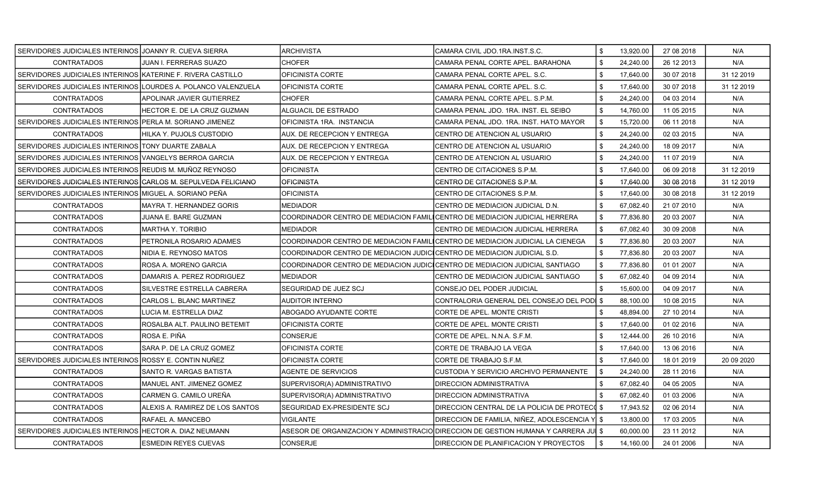| SERVIDORES JUDICIALES INTERINOS IJOANNY R. CUEVA SIERRA        |                                 | <b>ARCHIVISTA</b>                                                           | ICAMARA CIVIL JDO 1RA INST.S.C.                                                                                         | \$  | 13,920.00 | 27 08 2018 | N/A         |
|----------------------------------------------------------------|---------------------------------|-----------------------------------------------------------------------------|-------------------------------------------------------------------------------------------------------------------------|-----|-----------|------------|-------------|
| <b>CONTRATADOS</b>                                             | JUAN I. FERRERAS SUAZO          | <b>CHOFER</b>                                                               | CAMARA PENAL CORTE APEL. BARAHONA                                                                                       | \$  | 24,240.00 | 26 12 2013 | N/A         |
| SERVIDORES JUDICIALES INTERINOS IKATERINE F. RIVERA CASTILLO   |                                 | OFICINISTA CORTE                                                            | ICAMARA PENAL CORTE APEL. S.C.                                                                                          | \$  | 17,640.00 | 30 07 2018 | 31 12 2019  |
| SERVIDORES JUDICIALES INTERINOS LOURDES A. POLANCO VALENZUELA  |                                 | <b>OFICINISTA CORTE</b>                                                     | CAMARA PENAL CORTE APEL. S.C.                                                                                           | \$  | 17,640.00 | 30 07 2018 | 31 12 2019  |
| <b>CONTRATADOS</b>                                             | APOLINAR JAVIER GUTIERREZ       | <b>CHOFER</b>                                                               | CAMARA PENAL CORTE APEL. S.P.M.                                                                                         | \$  | 24,240.00 | 04 03 2014 | N/A         |
| <b>CONTRATADOS</b>                                             | HECTOR E. DE LA CRUZ GUZMAN     | ALGUACIL DE ESTRADO                                                         | CAMARA PENAL JDO. 1RA. INST. EL SEIBO                                                                                   | \$  | 14,760.00 | 11 05 2015 | N/A         |
| SERVIDORES JUDICIALES INTERINOS PERLA M. SORIANO JIMENEZ       |                                 | OFICINISTA 1RA. INSTANCIA                                                   | CAMARA PENAL JDO. 1RA. INST. HATO MAYOR                                                                                 | \$  | 15,720.00 | 06 11 2018 | N/A         |
| <b>CONTRATADOS</b>                                             | HILKA Y. PUJOLS CUSTODIO        | AUX. DE RECEPCION Y ENTREGA                                                 | ICENTRO DE ATENCION AL USUARIO                                                                                          | \$  | 24,240.00 | 02 03 2015 | N/A         |
| SERVIDORES JUDICIALES INTERINOS TONY DUARTE ZABALA             |                                 | <b>AUX. DE RECEPCION Y ENTREGA</b>                                          | CENTRO DE ATENCION AL USUARIO                                                                                           | \$  | 24,240.00 | 18 09 2017 | N/A         |
| SERVIDORES JUDICIALES INTERINOS IVANGELYS BERROA GARCIA        |                                 | AUX. DE RECEPCION Y ENTREGA                                                 | CENTRO DE ATENCION AL USUARIO                                                                                           | \$  | 24,240.00 | 11 07 2019 | N/A         |
| SERVIDORES JUDICIALES INTERINOS REUDIS M. MUÑOZ REYNOSO        |                                 | <b>OFICINISTA</b>                                                           | CENTRO DE CITACIONES S.P.M.                                                                                             | \$  | 17,640.00 | 06 09 2018 | 31 12 2019  |
| SERVIDORES JUDICIALES INTERINOS ICARLOS M. SEPULVEDA FELICIANO |                                 | <b>OFICINISTA</b>                                                           | CENTRO DE CITACIONES S.P.M.                                                                                             | \$  | 17,640.00 | 30 08 2018 | 31 12 2019  |
| SERVIDORES JUDICIALES INTERINOS MIGUEL A. SORIANO PEÑA         |                                 | <b>OFICINISTA</b>                                                           | CENTRO DE CITACIONES S.P.M.                                                                                             | \$  | 17,640.00 | 30 08 2018 | 31 12 2019  |
| <b>CONTRATADOS</b>                                             | <b>MAYRA T. HERNANDEZ GORIS</b> | MEDIADOR                                                                    | CENTRO DE MEDIACION JUDICIAL D.N.                                                                                       | \$  | 67,082.40 | 21 07 2010 | N/A         |
| <b>CONTRATADOS</b>                                             | JUANA E. BARE GUZMAN            | COORDINADOR CENTRO DE MEDIACION FAMILICENTRO DE MEDIACION JUDICIAL HERRERA  |                                                                                                                         | \$  | 77,836.80 | 20 03 2007 | N/A         |
| <b>CONTRATADOS</b>                                             | MARTHA Y. TORIBIO               | MEDIADOR                                                                    | CENTRO DE MEDIACION JUDICIAL HERRERA                                                                                    | \$  | 67,082.40 | 30 09 2008 | N/A         |
| <b>CONTRATADOS</b>                                             | PETRONILA ROSARIO ADAMES        |                                                                             | COORDINADOR CENTRO DE MEDIACION FAMILICENTRO DE MEDIACION JUDICIAL LA CIENEGA                                           | \$  | 77,836.80 | 20 03 2007 | N/A         |
| <b>CONTRATADOS</b>                                             | NIDIA E. REYNOSO MATOS          | COORDINADOR CENTRO DE MEDIACION JUDICICENTRO DE MEDIACION JUDICIAL S.D.     |                                                                                                                         | \$. | 77,836.80 | 20 03 2007 | N/A         |
| <b>CONTRATADOS</b>                                             | ROSA A. MORENO GARCIA           | COORDINADOR CENTRO DE MEDIACION JUDICICENTRO DE MEDIACION JUDICIAL SANTIAGO |                                                                                                                         | \$  | 77,836.80 | 01 01 2007 | N/A         |
| <b>CONTRATADOS</b>                                             | DAMARIS A. PEREZ RODRIGUEZ      | MEDIADOR                                                                    | CENTRO DE MEDIACION JUDICIAL SANTIAGO                                                                                   | \$  | 67,082.40 | 04 09 2014 | N/A         |
| <b>CONTRATADOS</b>                                             | SILVESTRE ESTRELLA CABRERA      | SEGURIDAD DE JUEZ SCJ                                                       | CONSEJO DEL PODER JUDICIAL                                                                                              | \$  | 15,600.00 | 04 09 2017 | N/A         |
| <b>CONTRATADOS</b>                                             | CARLOS L. BLANC MARTINEZ        | <b>AUDITOR INTERNO</b>                                                      | CONTRALORIA GENERAL DEL CONSEJO DEL PODI \$                                                                             |     | 88,100.00 | 10 08 2015 | N/A         |
| <b>CONTRATADOS</b>                                             | LUCIA M. ESTRELLA DIAZ          | ABOGADO AYUDANTE CORTE                                                      | CORTE DE APEL. MONTE CRISTI                                                                                             |     | 48,894.00 | 27 10 2014 | N/A         |
| <b>CONTRATADOS</b>                                             | ROSALBA ALT. PAULINO BETEMIT    | <b>OFICINISTA CORTE</b>                                                     | CORTE DE APEL. MONTE CRISTI                                                                                             | \$. | 17.640.00 | 01 02 2016 | N/A         |
| <b>CONTRATADOS</b>                                             | ROSA E. PIÑA                    | CONSERJE                                                                    | CORTE DE APEL. N.N.A. S.F.M.                                                                                            | \$  | 12,444.00 | 26 10 2016 | N/A         |
| <b>CONTRATADOS</b>                                             | SARA P. DE LA CRUZ GOMEZ        | OFICINISTA CORTE                                                            | CORTE DE TRABAJO LA VEGA                                                                                                | \$  | 17,640.00 | 13 06 2016 | N/A         |
| SERVIDORES JUDICIALES INTERINOS ROSSY E. CONTIN NUÑEZ          |                                 | OFICINISTA CORTE                                                            | ICORTE DE TRABAJO S.F.M.                                                                                                | \$  | 17,640.00 | 18 01 2019 | 20 09 20 20 |
| <b>CONTRATADOS</b>                                             | SANTO R. VARGAS BATISTA         | <b>AGENTE DE SERVICIOS</b>                                                  | ICUSTODIA Y SERVICIO ARCHIVO PERMANENTE                                                                                 | \$  | 24,240.00 | 28 11 2016 | N/A         |
| <b>CONTRATADOS</b>                                             | MANUEL ANT. JIMENEZ GOMEZ       | SUPERVISOR(A) ADMINISTRATIVO                                                | DIRECCION ADMINISTRATIVA                                                                                                | \$  | 67,082.40 | 04 05 2005 | N/A         |
| <b>CONTRATADOS</b>                                             | CARMEN G. CAMILO UREÑA          | SUPERVISOR(A) ADMINISTRATIVO                                                | DIRECCION ADMINISTRATIVA                                                                                                | \$  | 67,082.40 | 01 03 2006 | N/A         |
| <b>CONTRATADOS</b>                                             | ALEXIS A. RAMIREZ DE LOS SANTOS | SEGURIDAD EX-PRESIDENTE SCJ                                                 | DIRECCION CENTRAL DE LA POLICIA DE PROTEC( \$                                                                           |     | 17,943.52 | 02 06 2014 | N/A         |
| <b>CONTRATADOS</b>                                             | RAFAEL A. MANCEBO               | VIGILANTE                                                                   | DIRECCION DE FAMILIA, NIÑEZ, ADOLESCENCIA Y \$                                                                          |     | 13,800.00 | 17 03 2005 | N/A         |
| SERVIDORES JUDICIALES INTERINOS HECTOR A. DIAZ NEUMANN         |                                 |                                                                             | ASESOR DE ORGANIZACION Y ADMINISTRACIO $\overline{\rm D}$ INECCION DE GESTION HUMANA Y CARRERA JU $\overline{\rm I}$ \$ |     | 60,000.00 | 23 11 2012 | N/A         |
| <b>CONTRATADOS</b>                                             | <b>ESMEDIN REYES CUEVAS</b>     | <b>CONSERJE</b>                                                             | DIRECCION DE PLANIFICACION Y PROYECTOS                                                                                  | \$  | 14,160.00 | 24 01 2006 | N/A         |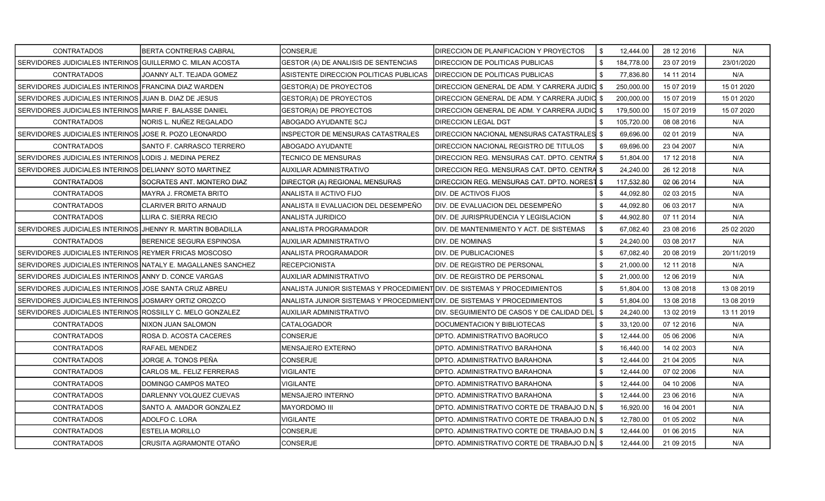| <b>CONTRATADOS</b>                                           | BERTA CONTRERAS CABRAL      | <b>CONSERJE</b>                                                           | <b>DIRECCION DE PLANIFICACION Y PROYECTOS</b>   | \$<br>12,444.00  | 28 12 2016 | N/A        |
|--------------------------------------------------------------|-----------------------------|---------------------------------------------------------------------------|-------------------------------------------------|------------------|------------|------------|
| SERVIDORES JUDICIALES INTERINOS GUILLERMO C. MILAN ACOSTA    |                             | GESTOR (A) DE ANALISIS DE SENTENCIAS                                      | <b>DIRECCION DE POLITICAS PUBLICAS</b>          | \$<br>184,778.00 | 23 07 2019 | 23/01/2020 |
| <b>CONTRATADOS</b>                                           | JOANNY ALT. TEJADA GOMEZ    | ASISTENTE DIRECCION POLITICAS PUBLICAS                                    | <b>DIRECCION DE POLITICAS PUBLICAS</b>          | \$<br>77,836.80  | 14 11 2014 | N/A        |
| SERVIDORES JUDICIALES INTERINOS FRANCINA DIAZ WARDEN         |                             | GESTOR(A) DE PROYECTOS                                                    | DIRECCION GENERAL DE ADM. Y CARRERA JUDIC       | \$<br>250,000.00 | 15 07 2019 | 15 01 2020 |
| SERVIDORES JUDICIALES INTERINOS JJUAN B. DIAZ DE JESUS       |                             | <b>GESTOR(A) DE PROYECTOS</b>                                             | DIRECCION GENERAL DE ADM. Y CARRERA JUDIC \$    | 200,000.00       | 15 07 2019 | 15 01 2020 |
| SERVIDORES JUDICIALES INTERINOS MARIE F. BALASSE DANIEL      |                             | GESTOR(A) DE PROYECTOS                                                    | DIRECCION GENERAL DE ADM. Y CARRERA JUDICI \$   | 179,500.00       | 15 07 2019 | 15 07 2020 |
| <b>CONTRATADOS</b>                                           | NORIS L. NUÑEZ REGALADO     | ABOGADO AYUDANTE SCJ                                                      | <b>DIRECCION LEGAL DGT</b>                      | 105,720.00       | 08 08 2016 | N/A        |
| SERVIDORES JUDICIALES INTERINOS JJOSE R. POZO LEONARDO       |                             | <b>INSPECTOR DE MENSURAS CATASTRALES</b>                                  | IDIRECCION NACIONAL MENSURAS CATASTRALESI \$    | 69,696.00        | 02 01 2019 | N/A        |
| <b>CONTRATADOS</b>                                           | SANTO F. CARRASCO TERRERO   | ABOGADO AYUDANTE                                                          | DIRECCION NACIONAL REGISTRO DE TITULOS          | \$<br>69,696.00  | 23 04 2007 | N/A        |
| SERVIDORES JUDICIALES INTERINOS LODIS J. MEDINA PEREZ        |                             | TECNICO DE MENSURAS                                                       | DIRECCION REG. MENSURAS CAT. DPTO. CENTRA \$    | 51,804.00        | 17 12 2018 | N/A        |
| SERVIDORES JUDICIALES INTERINOS DELIANNY SOTO MARTINEZ       |                             | AUXILIAR ADMINISTRATIVO                                                   | DIRECCION REG. MENSURAS CAT. DPTO. CENTRA \$    | 24,240.00        | 26 12 2018 | N/A        |
| <b>CONTRATADOS</b>                                           | SOCRATES ANT. MONTERO DIAZ  | DIRECTOR (A) REGIONAL MENSURAS                                            | DIRECCION REG. MENSURAS CAT. DPTO. NOREST       | \$<br>117,532.80 | 02 06 2014 | N/A        |
| CONTRATADOS                                                  | MAYRA J. FROMETA BRITO      | ANALISTA II ACTIVO FIJO                                                   | <b>DIV. DE ACTIVOS FIJOS</b>                    | 44,092.80        | 02 03 2015 | N/A        |
| <b>CONTRATADOS</b>                                           | CLARIVER BRITO ARNAUD       | ANALISTA II EVALUACION DEL DESEMPEÑO                                      | <b>JDIV. DE EVALUACION DEL DESEMPEÑO</b>        | \$<br>44,092.80  | 06 03 2017 | N/A        |
| <b>CONTRATADOS</b>                                           | LLIRA C. SIERRA RECIO       | ANALISTA JURIDICO                                                         | DIV. DE JURISPRUDENCIA Y LEGISLACION            | \$<br>44,902.80  | 07 11 2014 | N/A        |
| SERVIDORES JUDICIALES INTERINOS JJHENNY R. MARTIN BOBADILLA  |                             | ANALISTA PROGRAMADOR                                                      | DIV. DE MANTENIMIENTO Y ACT. DE SISTEMAS        | \$<br>67,082.40  | 23 08 2016 | 25 02 2020 |
| <b>CONTRATADOS</b>                                           | BERENICE SEGURA ESPINOSA    | <b>AUXILIAR ADMINISTRATIVO</b>                                            | <b>I</b> DIV. DE NOMINAS                        | \$<br>24,240.00  | 03 08 2017 | N/A        |
| SERVIDORES JUDICIALES INTERINOS REYMER FRICAS MOSCOSO        |                             | ANALISTA PROGRAMADOR                                                      | <b>DIV. DE PUBLICACIONES</b>                    | \$<br>67,082.40  | 20 08 2019 | 20/11/2019 |
| SERVIDORES JUDICIALES INTERINOS NATALY E. MAGALLANES SANCHEZ |                             | <b>RECEPCIONISTA</b>                                                      | IDIV. DE REGISTRO DE PERSONAL                   | \$<br>21,000.00  | 12 11 2018 | N/A        |
| SERVIDORES JUDICIALES INTERINOS ANNY D. CONCE VARGAS         |                             | AUXILIAR ADMINISTRATIVO                                                   | DIV. DE REGISTRO DE PERSONAL                    | \$<br>21,000.00  | 12 06 2019 | N/A        |
| SERVIDORES JUDICIALES INTERINOS JJOSE SANTA CRUZ ABREU       |                             | ANALISTA JUNIOR SISTEMAS Y PROCEDIMIENTIDIV. DE SISTEMAS Y PROCEDIMIENTOS |                                                 | \$<br>51,804.00  | 13 08 2018 | 13 08 2019 |
| SERVIDORES JUDICIALES INTERINOS                              | <b>JOSMARY ORTIZ OROZCO</b> | ANALISTA JUNIOR SISTEMAS Y PROCEDIMIENTIDIV. DE SISTEMAS Y PROCEDIMIENTOS |                                                 | \$<br>51,804.00  | 13 08 2018 | 13 08 2019 |
| SERVIDORES JUDICIALES INTERINOS ROSSILLY C. MELO GONZALEZ    |                             | AUXILIAR ADMINISTRATIVO                                                   | IDIV. SEGUIMIENTO DE CASOS Y DE CALIDAD DEL     | \$<br>24,240.00  | 13 02 2019 | 13 11 2019 |
| <b>CONTRATADOS</b>                                           | NIXON JUAN SALOMON          | <b>CATALOGADOR</b>                                                        | DOCUMENTACION Y BIBLIOTECAS                     | \$<br>33,120.00  | 07 12 2016 | N/A        |
| <b>CONTRATADOS</b>                                           | ROSA D. ACOSTA CACERES      | CONSERJE                                                                  | DPTO. ADMINISTRATIVO BAORUCO                    | \$<br>12,444.00  | 05 06 2006 | N/A        |
| <b>CONTRATADOS</b>                                           | RAFAEL MENDEZ               | MENSAJERO EXTERNO                                                         | DPTO. ADMINISTRATIVO BARAHONA                   | \$<br>16,440.00  | 14 02 2003 | N/A        |
| <b>CONTRATADOS</b>                                           | JORGE A. TONOS PEÑA         | <b>CONSERJE</b>                                                           | DPTO. ADMINISTRATIVO BARAHONA                   | \$<br>12,444.00  | 21 04 2005 | N/A        |
| <b>CONTRATADOS</b>                                           | CARLOS ML. FELIZ FERRERAS   | <b>VIGILANTE</b>                                                          | <b>DPTO. ADMINISTRATIVO BARAHONA</b>            | \$<br>12,444.00  | 07 02 2006 | N/A        |
| <b>CONTRATADOS</b>                                           | DOMINGO CAMPOS MATEO        | <b>VIGILANTE</b>                                                          | DPTO. ADMINISTRATIVO BARAHONA                   | \$<br>12,444.00  | 04 10 2006 | N/A        |
| <b>CONTRATADOS</b>                                           | DARLENNY VOLQUEZ CUEVAS     | MENSAJERO INTERNO                                                         | DPTO. ADMINISTRATIVO BARAHONA                   | \$<br>12,444.00  | 23 06 2016 | N/A        |
| <b>CONTRATADOS</b>                                           | SANTO A. AMADOR GONZALEZ    | <b>MAYORDOMO III</b>                                                      | DPTO. ADMINISTRATIVO CORTE DE TRABAJO D.N. S    | 16,920.00        | 16 04 2001 | N/A        |
| <b>CONTRATADOS</b>                                           | ADOLFO C. LORA              | <b>VIGILANTE</b>                                                          | DPTO. ADMINISTRATIVO CORTE DE TRABAJO D.N. \$   | 12,780.00        | 01 05 2002 | N/A        |
| <b>CONTRATADOS</b>                                           | ESTELIA MORILLO             | <b>CONSERJE</b>                                                           | IDPTO. ADMINISTRATIVO CORTE DE TRABAJO D.N.I \$ | 12,444.00        | 01 06 2015 | N/A        |
| <b>CONTRATADOS</b>                                           | CRUSITA AGRAMONTE OTAÑO     | <b>CONSERJE</b>                                                           | DPTO. ADMINISTRATIVO CORTE DE TRABAJO D.N. \$   | 12,444.00        | 21 09 2015 | N/A        |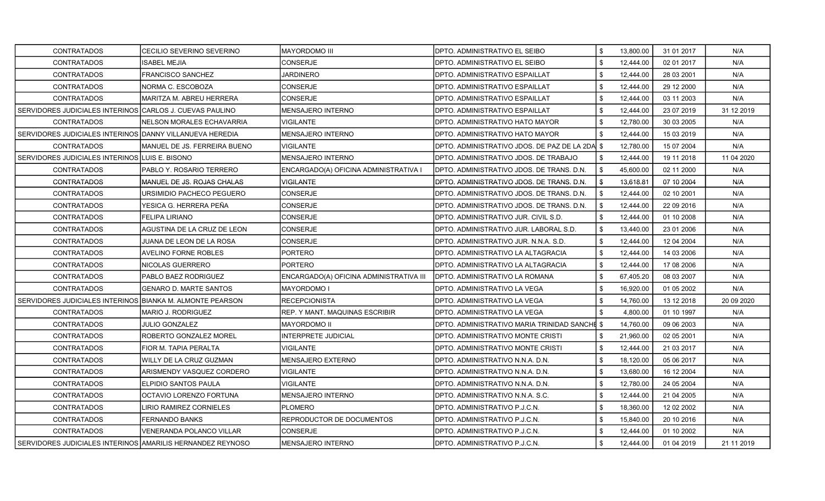| <b>CONTRATADOS</b>                                         | CECILIO SEVERINO SEVERINO        | <b>MAYORDOMO III</b>                    | IDPTO, ADMINISTRATIVO EL SEIBO              | \$<br>13,800.00 | 31 01 2017 | N/A         |
|------------------------------------------------------------|----------------------------------|-----------------------------------------|---------------------------------------------|-----------------|------------|-------------|
| <b>CONTRATADOS</b>                                         | <b>SABEL MEJIA</b>               | <b>CONSERJE</b>                         | DPTO. ADMINISTRATIVO EL SEIBO               | \$<br>12,444.00 | 02 01 2017 | N/A         |
| <b>CONTRATADOS</b>                                         | FRANCISCO SANCHEZ                | <b>JARDINERO</b>                        | DPTO. ADMINISTRATIVO ESPAILLAT              | \$<br>12,444.00 | 28 03 2001 | N/A         |
| <b>CONTRATADOS</b>                                         | NORMA C. ESCOBOZA                | <b>CONSERJE</b>                         | DPTO. ADMINISTRATIVO ESPAILLAT              | \$<br>12,444.00 | 29 12 2000 | N/A         |
| <b>CONTRATADOS</b>                                         | MARITZA M. ABREU HERRERA         | <b>CONSERJE</b>                         | DPTO. ADMINISTRATIVO ESPAILLAT              | \$<br>12,444.00 | 03 11 2003 | N/A         |
| SERVIDORES JUDICIALES INTERINOS                            | CARLOS J. CUEVAS PAULINO         | <b>MENSAJERO INTERNO</b>                | DPTO. ADMINISTRATIVO ESPAILLAT              | \$<br>12,444.00 | 23 07 2019 | 31 12 2019  |
| <b>CONTRATADOS</b>                                         | NELSON MORALES ECHAVARRIA        | <b>VIGILANTE</b>                        | DPTO. ADMINISTRATIVO HATO MAYOR             | \$<br>12,780.00 | 30 03 2005 | N/A         |
| SERVIDORES JUDICIALES INTERINOS DANNY VILLANUEVA HEREDIA   |                                  | MENSAJERO INTERNO                       | DPTO. ADMINISTRATIVO HATO MAYOR             | 12,444.00       | 15 03 2019 | N/A         |
| <b>CONTRATADOS</b>                                         | MANUEL DE JS. FERREIRA BUENO     | VIGILANTE                               | DPTO. ADMINISTRATIVO JDOS. DE PAZ DE LA 2DA | \$<br>12,780.00 | 15 07 2004 | N/A         |
| SERVIDORES JUDICIALES INTERINOS                            | ILUIS E. BISONO                  | <b>MENSAJERO INTERNO</b>                | DPTO. ADMINISTRATIVO JDOS. DE TRABAJO       | \$<br>12,444.00 | 19 11 2018 | 11 04 2020  |
| <b>CONTRATADOS</b>                                         | PABLO Y. ROSARIO TERRERO         | ENCARGADO(A) OFICINA ADMINISTRATIVA I   | DPTO. ADMINISTRATIVO JDOS. DE TRANS. D.N.   | \$<br>45,600.00 | 02 11 2000 | N/A         |
| CONTRATADOS                                                | MANUEL DE JS. ROJAS CHALAS       | <b>VIGILANTE</b>                        | DPTO. ADMINISTRATIVO JDOS. DE TRANS. D.N.   | \$<br>13,618.81 | 07 10 2004 | N/A         |
| <b>CONTRATADOS</b>                                         | URSIMIDIO PACHECO PEGUERO        | <b>CONSERJE</b>                         | DPTO. ADMINISTRATIVO JDOS. DE TRANS. D.N.   | \$<br>12,444.00 | 02 10 2001 | N/A         |
| <b>CONTRATADOS</b>                                         | YESICA G. HERRERA PEÑA           | <b>CONSERJE</b>                         | DPTO. ADMINISTRATIVO JDOS. DE TRANS. D.N.   | \$<br>12,444.00 | 22 09 2016 | N/A         |
| <b>CONTRATADOS</b>                                         | FELIPA LIRIANO                   | <b>CONSERJE</b>                         | DPTO, ADMINISTRATIVO JUR. CIVIL S.D.        | \$<br>12,444.00 | 01 10 2008 | N/A         |
| <b>CONTRATADOS</b>                                         | AGUSTINA DE LA CRUZ DE LEON      | <b>CONSERJE</b>                         | DPTO. ADMINISTRATIVO JUR. LABORAL S.D.      | \$<br>13,440.00 | 23 01 2006 | N/A         |
| CONTRATADOS                                                | JUANA DE LEON DE LA ROSA         | <b>CONSERJE</b>                         | DPTO. ADMINISTRATIVO JUR. N.N.A. S.D.       | \$<br>12,444.00 | 12 04 2004 | N/A         |
| CONTRATADOS                                                | AVELINO FORNE ROBLES             | <b>PORTERO</b>                          | DPTO. ADMINISTRATIVO LA ALTAGRACIA          | \$<br>12,444.00 | 14 03 2006 | N/A         |
| <b>CONTRATADOS</b>                                         | NICOLAS GUERRERO                 | <b>PORTERO</b>                          | DPTO. ADMINISTRATIVO LA ALTAGRACIA          | \$<br>12,444.00 | 17 08 2006 | N/A         |
| <b>CONTRATADOS</b>                                         | PABLO BAEZ RODRIGUEZ             | ENCARGADO(A) OFICINA ADMINISTRATIVA III | DPTO. ADMINISTRATIVO LA ROMANA              | \$<br>67,405.20 | 08 03 2007 | N/A         |
| <b>CONTRATADOS</b>                                         | GENARO D. MARTE SANTOS           | MAYORDOMO I                             | DPTO. ADMINISTRATIVO LA VEGA                | \$<br>16,920.00 | 01 05 2002 | N/A         |
| SERVIDORES JUDICIALES INTERINOS                            | <b>BIANKA M. ALMONTE PEARSON</b> | <b>RECEPCIONISTA</b>                    | DPTO. ADMINISTRATIVO LA VEGA                | \$<br>14,760.00 | 13 12 2018 | 20 09 20 20 |
| CONTRATADOS                                                | MARIO J. RODRIGUEZ               | IREP. Y MANT. MAQUINAS ESCRIBIR         | DPTO. ADMINISTRATIVO LA VEGA                | \$<br>4,800.00  | 01 10 1997 | N/A         |
| CONTRATADOS                                                | JULIO GONZALEZ                   | <b>MAYORDOMO II</b>                     | DPTO. ADMINISTRATIVO MARIA TRINIDAD SANCHE  | \$<br>14,760.00 | 09 06 2003 | N/A         |
| <b>CONTRATADOS</b>                                         | ROBERTO GONZALEZ MOREL           | <b>INTERPRETE JUDICIAL</b>              | DPTO. ADMINISTRATIVO MONTE CRISTI           | \$<br>21,960.00 | 02 05 2001 | N/A         |
| <b>CONTRATADOS</b>                                         | FIOR M. TAPIA PERALTA            | <b>VIGILANTE</b>                        | DPTO. ADMINISTRATIVO MONTE CRISTI           | \$<br>12,444.00 | 21 03 2017 | N/A         |
| <b>CONTRATADOS</b>                                         | WILLY DE LA CRUZ GUZMAN          | <b>MENSAJERO EXTERNO</b>                | DPTO. ADMINISTRATIVO N.N.A. D.N.            | \$<br>18,120.00 | 05 06 2017 | N/A         |
| CONTRATADOS                                                | ARISMENDY VASQUEZ CORDERO        | <b>VIGILANTE</b>                        | DPTO. ADMINISTRATIVO N.N.A. D.N.            | \$<br>13,680.00 | 16 12 2004 | N/A         |
| CONTRATADOS                                                | ELPIDIO SANTOS PAULA             | VIGILANTE                               | DPTO, ADMINISTRATIVO N.N.A. D.N.            | \$<br>12,780.00 | 24 05 2004 | N/A         |
| <b>CONTRATADOS</b>                                         | OCTAVIO LORENZO FORTUNA          | <b>MENSAJERO INTERNO</b>                | DPTO. ADMINISTRATIVO N.N.A. S.C.            | \$<br>12,444.00 | 21 04 2005 | N/A         |
| <b>CONTRATADOS</b>                                         | IRIO RAMIREZ CORNIELES           | <b>PLOMERO</b>                          | DPTO. ADMINISTRATIVO P.J.C.N.               | \$<br>18,360.00 | 12 02 2002 | N/A         |
| <b>CONTRATADOS</b>                                         | FERNANDO BANKS                   | REPRODUCTOR DE DOCUMENTOS               | DPTO. ADMINISTRATIVO P.J.C.N.               | \$<br>15,840.00 | 20 10 2016 | N/A         |
| <b>CONTRATADOS</b>                                         | VENERANDA POLANCO VILLAR         | <b>CONSERJE</b>                         | DPTO. ADMINISTRATIVO P.J.C.N.               | 12,444.00       | 01 10 2002 | N/A         |
| SERVIDORES JUDICIALES INTERINOS AMARILIS HERNANDEZ REYNOSO |                                  | <b>MENSAJERO INTERNO</b>                | DPTO. ADMINISTRATIVO P.J.C.N.               | \$<br>12,444.00 | 01 04 2019 | 21 11 2019  |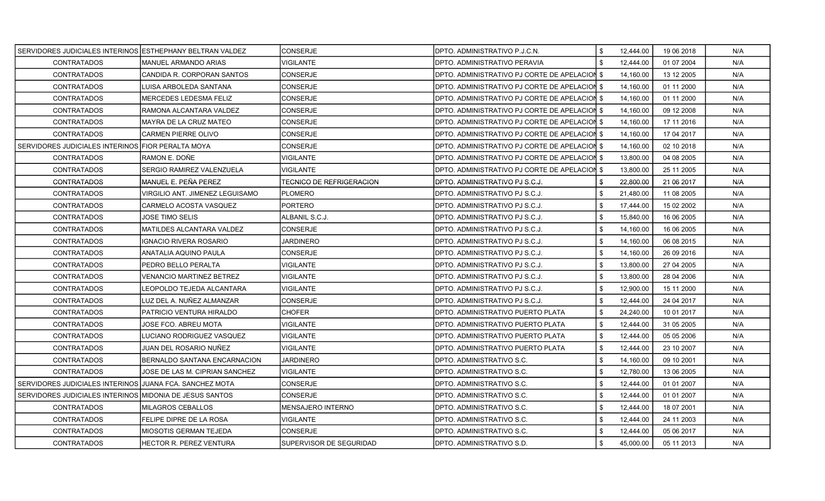| SERVIDORES JUDICIALES INTERINOS LESTHEPHANY BELTRAN VALDEZ |                                 | <b>ICONSERJE</b>                | <b>IDPTO, ADMINISTRATIVO P.J.C.N.</b>         | \$<br>12,444.00 | 19 06 2018 | N/A |
|------------------------------------------------------------|---------------------------------|---------------------------------|-----------------------------------------------|-----------------|------------|-----|
| <b>CONTRATADOS</b>                                         | MANUEL ARMANDO ARIAS            | <b>VIGILANTE</b>                | DPTO. ADMINISTRATIVO PERAVIA                  | \$<br>12,444.00 | 01 07 2004 | N/A |
| <b>CONTRATADOS</b>                                         | CANDIDA R. CORPORAN SANTOS      | <b>CONSERJE</b>                 | DPTO. ADMINISTRATIVO PJ CORTE DE APELACION \$ | 14,160.00       | 13 12 2005 | N/A |
| <b>CONTRATADOS</b>                                         | LUISA ARBOLEDA SANTANA          | <b>CONSERJE</b>                 | DPTO. ADMINISTRATIVO PJ CORTE DE APELACION \$ | 14,160.00       | 01 11 2000 | N/A |
| <b>CONTRATADOS</b>                                         | MERCEDES LEDESMA FELIZ          | <b>CONSERJE</b>                 | DPTO. ADMINISTRATIVO PJ CORTE DE APELACION \$ | 14,160.00       | 01 11 2000 | N/A |
| <b>CONTRATADOS</b>                                         | RAMONA ALCANTARA VALDEZ         | <b>CONSERJE</b>                 | DPTO. ADMINISTRATIVO PJ CORTE DE APELACION \$ | 14,160.00       | 09 12 2008 | N/A |
| <b>CONTRATADOS</b>                                         | MAYRA DE LA CRUZ MATEO          | <b>CONSERJE</b>                 | DPTO. ADMINISTRATIVO PJ CORTE DE APELACION \$ | 14,160.00       | 17 11 2016 | N/A |
| <b>CONTRATADOS</b>                                         | <b>CARMEN PIERRE OLIVO</b>      | <b>CONSERJE</b>                 | DPTO. ADMINISTRATIVO PJ CORTE DE APELACION \$ | 14,160.00       | 17 04 2017 | N/A |
| SERVIDORES JUDICIALES INTERINOS FIOR PERALTA MOYA          |                                 | <b>CONSERJE</b>                 | DPTO. ADMINISTRATIVO PJ CORTE DE APELACION \$ | 14,160.00       | 02 10 2018 | N/A |
| <b>CONTRATADOS</b>                                         | RAMON E. DOÑE                   | <b>VIGILANTE</b>                | DPTO. ADMINISTRATIVO PJ CORTE DE APELACION \$ | 13,800.00       | 04 08 2005 | N/A |
| <b>CONTRATADOS</b>                                         | SERGIO RAMIREZ VALENZUELA       | VIGILANTE                       | DPTO. ADMINISTRATIVO PJ CORTE DE APELACION \$ | 13,800.00       | 25 11 2005 | N/A |
| <b>CONTRATADOS</b>                                         | MANUEL E. PEÑA PEREZ            | <b>TECNICO DE REFRIGERACION</b> | DPTO, ADMINISTRATIVO PJ S.C.J.                | \$<br>22,800.00 | 21 06 2017 | N/A |
| <b>CONTRATADOS</b>                                         | VIRGILIO ANT. JIMENEZ LEGUISAMO | <b>PLOMERO</b>                  | DPTO. ADMINISTRATIVO PJ S.C.J.                | 21,480.00       | 11 08 2005 | N/A |
| <b>CONTRATADOS</b>                                         | CARMELO ACOSTA VASQUEZ          | <b>PORTERO</b>                  | DPTO. ADMINISTRATIVO PJ S.C.J.                | \$<br>17,444.00 | 15 02 2002 | N/A |
| <b>CONTRATADOS</b>                                         | JOSE TIMO SELIS                 | ALBANIL S.C.J.                  | DPTO. ADMINISTRATIVO PJ S.C.J.                | \$<br>15.840.00 | 16 06 2005 | N/A |
| <b>CONTRATADOS</b>                                         | MATILDES ALCANTARA VALDEZ       | <b>CONSERJE</b>                 | DPTO. ADMINISTRATIVO PJ S.C.J.                | \$<br>14,160.00 | 16 06 2005 | N/A |
| CONTRATADOS                                                | <b>GNACIO RIVERA ROSARIO</b>    | <b>JARDINERO</b>                | DPTO. ADMINISTRATIVO PJ S.C.J.                | \$<br>14,160.00 | 06 08 2015 | N/A |
| <b>CONTRATADOS</b>                                         | ANATALIA AQUINO PAULA           | <b>CONSERJE</b>                 | IDPTO. ADMINISTRATIVO PJ S.C.J.               | \$<br>14,160.00 | 26 09 2016 | N/A |
| <b>CONTRATADOS</b>                                         | PEDRO BELLO PERALTA             | <b>VIGILANTE</b>                | DPTO. ADMINISTRATIVO PJ S.C.J.                | \$<br>13,800.00 | 27 04 2005 | N/A |
| <b>CONTRATADOS</b>                                         | <b>VENANCIO MARTINEZ BETREZ</b> | VIGILANTE                       | DPTO. ADMINISTRATIVO PJ S.C.J.                | \$<br>13,800.00 | 28 04 2006 | N/A |
| <b>CONTRATADOS</b>                                         | EOPOLDO TEJEDA ALCANTARA        | <b>VIGILANTE</b>                | DPTO. ADMINISTRATIVO PJ S.C.J.                | \$<br>12,900.00 | 15 11 2000 | N/A |
| <b>CONTRATADOS</b>                                         | LUZ DEL A. NUÑEZ ALMANZAR       | <b>CONSERJE</b>                 | DPTO. ADMINISTRATIVO PJ S.C.J.                | \$<br>12,444.00 | 24 04 2017 | N/A |
| <b>CONTRATADOS</b>                                         | PATRICIO VENTURA HIRALDO        | <b>CHOFER</b>                   | DPTO. ADMINISTRATIVO PUERTO PLATA             | \$<br>24,240.00 | 10 01 2017 | N/A |
| <b>CONTRATADOS</b>                                         | JOSE FCO. ABREU MOTA            | <b>VIGILANTE</b>                | DPTO. ADMINISTRATIVO PUERTO PLATA             | \$<br>12,444.00 | 31 05 2005 | N/A |
| <b>CONTRATADOS</b>                                         | LUCIANO RODRIGUEZ VASQUEZ       | VIGILANTE                       | DPTO. ADMINISTRATIVO PUERTO PLATA             | \$<br>12,444.00 | 05 05 2006 | N/A |
| <b>CONTRATADOS</b>                                         | JUAN DEL ROSARIO NUÑEZ          | <b>VIGILANTE</b>                | DPTO. ADMINISTRATIVO PUERTO PLATA             | \$<br>12,444.00 | 23 10 2007 | N/A |
| <b>CONTRATADOS</b>                                         | BERNALDO SANTANA ENCARNACION    | <b>JARDINERO</b>                | DPTO. ADMINISTRATIVO S.C.                     | \$<br>14,160.00 | 09 10 2001 | N/A |
| <b>CONTRATADOS</b>                                         | JOSE DE LAS M. CIPRIAN SANCHEZ  | <b>VIGILANTE</b>                | DPTO. ADMINISTRATIVO S.C.                     | \$<br>12,780.00 | 13 06 2005 | N/A |
| SERVIDORES JUDICIALES INTERINOS JJUANA FCA. SANCHEZ MOTA   |                                 | <b>CONSERJE</b>                 | DPTO. ADMINISTRATIVO S.C.                     | \$<br>12,444.00 | 01 01 2007 | N/A |
| SERVIDORES JUDICIALES INTERINOS                            | MIDONIA DE JESUS SANTOS         | <b>CONSERJE</b>                 | DPTO. ADMINISTRATIVO S.C.                     | \$<br>12,444.00 | 01 01 2007 | N/A |
| <b>CONTRATADOS</b>                                         | MILAGROS CEBALLOS               | <b>MENSAJERO INTERNO</b>        | DPTO. ADMINISTRATIVO S.C.                     | \$<br>12,444.00 | 18 07 2001 | N/A |
| <b>CONTRATADOS</b>                                         | FELIPE DIPRE DE LA ROSA         | <b>VIGILANTE</b>                | DPTO. ADMINISTRATIVO S.C.                     | \$<br>12,444.00 | 24 11 2003 | N/A |
| <b>CONTRATADOS</b>                                         | MIOSOTIS GERMAN TEJEDA          | <b>CONSERJE</b>                 | DPTO. ADMINISTRATIVO S.C.                     | 12,444.00       | 05 06 2017 | N/A |
| <b>CONTRATADOS</b>                                         | HECTOR R. PEREZ VENTURA         | SUPERVISOR DE SEGURIDAD         | <b>DPTO. ADMINISTRATIVO S.D.</b>              | \$<br>45,000.00 | 05 11 2013 | N/A |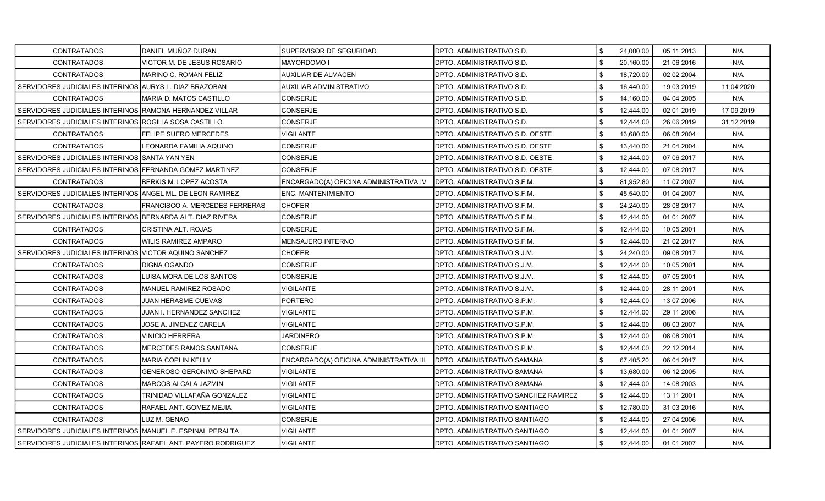| <b>CONTRATADOS</b>                                           | DANIEL MUÑOZ DURAN               | SUPERVISOR DE SEGURIDAD                 | DPTO. ADMINISTRATIVO S.D.            | \$<br>24,000.00 | 05 11 2013 | N/A        |
|--------------------------------------------------------------|----------------------------------|-----------------------------------------|--------------------------------------|-----------------|------------|------------|
| <b>CONTRATADOS</b>                                           | VICTOR M. DE JESUS ROSARIO       | <b>MAYORDOMOI</b>                       | <b>DPTO. ADMINISTRATIVO S.D.</b>     | \$<br>20,160.00 | 21 06 2016 | N/A        |
| <b>CONTRATADOS</b>                                           | MARINO C. ROMAN FELIZ            | <b>AUXILIAR DE ALMACEN</b>              | DPTO. ADMINISTRATIVO S.D.            | \$<br>18,720.00 | 02 02 2004 | N/A        |
| SERVIDORES JUDICIALES INTERINOS AURYS L. DIAZ BRAZOBAN       |                                  | <b>AUXILIAR ADMINISTRATIVO</b>          | DPTO. ADMINISTRATIVO S.D.            | \$<br>16,440.00 | 19 03 2019 | 11 04 2020 |
| <b>CONTRATADOS</b>                                           | MARIA D. MATOS CASTILLO          | CONSERJE                                | DPTO. ADMINISTRATIVO S.D.            | \$<br>14,160.00 | 04 04 2005 | N/A        |
| SERVIDORES JUDICIALES INTERINOS RAMONA HERNANDEZ VILLAR      |                                  | CONSERJE                                | IDPTO. ADMINISTRATIVO S.D.           | \$<br>12,444.00 | 02 01 2019 | 17 09 2019 |
| SERVIDORES JUDICIALES INTERINOS ROGILIA SOSA CASTILLO        |                                  | CONSERJE                                | DPTO. ADMINISTRATIVO S.D.            | \$<br>12,444.00 | 26 06 2019 | 31 12 2019 |
| <b>CONTRATADOS</b>                                           | FELIPE SUERO MERCEDES            | <b>VIGILANTE</b>                        | DPTO. ADMINISTRATIVO S.D. OESTE      | \$<br>13,680.00 | 06 08 2004 | N/A        |
| <b>CONTRATADOS</b>                                           | LEONARDA FAMILIA AQUINO          | CONSERJE                                | DPTO. ADMINISTRATIVO S.D. OESTE      | \$<br>13,440.00 | 21 04 2004 | N/A        |
| SERVIDORES JUDICIALES INTERINOS SANTA YAN YEN                |                                  | CONSERJE                                | DPTO. ADMINISTRATIVO S.D. OESTE      | \$<br>12,444.00 | 07 06 2017 | N/A        |
| SERVIDORES JUDICIALES INTERINOS FERNANDA GOMEZ MARTINEZ      |                                  | CONSERJE                                | DPTO. ADMINISTRATIVO S.D. OESTE      | \$<br>12,444.00 | 07 08 2017 | N/A        |
| <b>CONTRATADOS</b>                                           | BERKIS M. LOPEZ ACOSTA           | ENCARGADO(A) OFICINA ADMINISTRATIVA IV  | DPTO, ADMINISTRATIVO S.F.M.          | \$<br>81,952.80 | 11 07 2007 | N/A        |
| SERVIDORES JUDICIALES INTERINOS ANGEL ML. DE LEON RAMIREZ    |                                  | <b>ENC. MANTENIMIENTO</b>               | DPTO. ADMINISTRATIVO S.F.M.          | \$<br>45,540.00 | 01 04 2007 | N/A        |
| <b>CONTRATADOS</b>                                           | FRANCISCO A. MERCEDES FERRERAS   | <b>CHOFER</b>                           | DPTO. ADMINISTRATIVO S.F.M.          | \$<br>24,240.00 | 28 08 2017 | N/A        |
| SERVIDORES JUDICIALES INTERINOS BERNARDA ALT. DIAZ RIVERA    |                                  | CONSERJE                                | DPTO. ADMINISTRATIVO S.F.M.          | \$<br>12,444.00 | 01 01 2007 | N/A        |
| <b>CONTRATADOS</b>                                           | CRISTINA ALT. ROJAS              | <b>CONSERJE</b>                         | DPTO. ADMINISTRATIVO S.F.M.          | \$<br>12,444.00 | 10 05 2001 | N/A        |
| <b>CONTRATADOS</b>                                           | WILIS RAMIREZ AMPARO             | <b>MENSAJERO INTERNO</b>                | DPTO. ADMINISTRATIVO S.F.M.          | \$<br>12,444.00 | 21 02 2017 | N/A        |
| SERVIDORES JUDICIALES INTERINOS VICTOR AQUINO SANCHEZ        |                                  | <b>CHOFER</b>                           | DPTO. ADMINISTRATIVO S.J.M.          | \$<br>24,240.00 | 09 08 2017 | N/A        |
| <b>CONTRATADOS</b>                                           | IDIGNA OGANDO                    | CONSERJE                                | DPTO. ADMINISTRATIVO S.J.M.          | \$<br>12,444.00 | 10 05 2001 | N/A        |
| <b>CONTRATADOS</b>                                           | LUISA MORA DE LOS SANTOS         | CONSERJE                                | DPTO. ADMINISTRATIVO S.J.M.          | \$<br>12,444.00 | 07 05 2001 | N/A        |
| <b>CONTRATADOS</b>                                           | <b>MANUEL RAMIREZ ROSADO</b>     | VIGILANTE                               | DPTO. ADMINISTRATIVO S.J.M.          | \$<br>12,444.00 | 28 11 2001 | N/A        |
| <b>CONTRATADOS</b>                                           | JUAN HERASME CUEVAS              | PORTERO                                 | DPTO. ADMINISTRATIVO S.P.M.          | \$<br>12,444.00 | 13 07 2006 | N/A        |
| <b>CONTRATADOS</b>                                           | JUAN I. HERNANDEZ SANCHEZ        | VIGILANTE                               | IDPTO. ADMINISTRATIVO S.P.M.         | \$<br>12,444.00 | 29 11 2006 | N/A        |
| <b>CONTRATADOS</b>                                           | JOSE A. JIMENEZ CARELA           | <b>VIGILANTE</b>                        | DPTO. ADMINISTRATIVO S.P.M.          | \$<br>12,444.00 | 08 03 2007 | N/A        |
| <b>CONTRATADOS</b>                                           | VINICIO HERRERA                  | <b>JARDINERO</b>                        | DPTO. ADMINISTRATIVO S.P.M.          | \$<br>12,444.00 | 08 08 2001 | N/A        |
| <b>CONTRATADOS</b>                                           | <b>MERCEDES RAMOS SANTANA</b>    | <b>CONSERJE</b>                         | DPTO. ADMINISTRATIVO S.P.M.          | \$<br>12,444.00 | 22 12 2014 | N/A        |
| <b>CONTRATADOS</b>                                           | <b>MARIA COPLIN KELLY</b>        | ENCARGADO(A) OFICINA ADMINISTRATIVA III | IDPTO. ADMINISTRATIVO SAMANA         | \$<br>67,405.20 | 06 04 2017 | N/A        |
| <b>CONTRATADOS</b>                                           | <b>GENEROSO GERONIMO SHEPARD</b> | <b>VIGILANTE</b>                        | DPTO. ADMINISTRATIVO SAMANA          | \$<br>13,680.00 | 06 12 2005 | N/A        |
| <b>CONTRATADOS</b>                                           | MARCOS ALCALA JAZMIN             | <b>VIGILANTE</b>                        | IDPTO. ADMINISTRATIVO SAMANA         | \$<br>12,444.00 | 14 08 2003 | N/A        |
| <b>CONTRATADOS</b>                                           | FRINIDAD VILLAFAÑA GONZALEZ      | VIGILANTE                               | DPTO. ADMINISTRATIVO SANCHEZ RAMIREZ | \$<br>12,444.00 | 13 11 2001 | N/A        |
| <b>CONTRATADOS</b>                                           | RAFAEL ANT. GOMEZ MEJIA          | <b>VIGILANTE</b>                        | <b>DPTO. ADMINISTRATIVO SANTIAGO</b> | \$<br>12,780.00 | 31 03 2016 | N/A        |
| <b>CONTRATADOS</b>                                           | LUZ M. GENAO                     | CONSERJE                                | DPTO. ADMINISTRATIVO SANTIAGO        | \$<br>12,444.00 | 27 04 2006 | N/A        |
| SERVIDORES JUDICIALES INTERINOS MANUEL E. ESPINAL PERALTA    |                                  | VIGILANTE                               | <b>DPTO. ADMINISTRATIVO SANTIAGO</b> | \$<br>12,444.00 | 01 01 2007 | N/A        |
| SERVIDORES JUDICIALES INTERINOS RAFAEL ANT. PAYERO RODRIGUEZ |                                  | <b>VIGILANTE</b>                        | DPTO. ADMINISTRATIVO SANTIAGO        | \$<br>12,444.00 | 01 01 2007 | N/A        |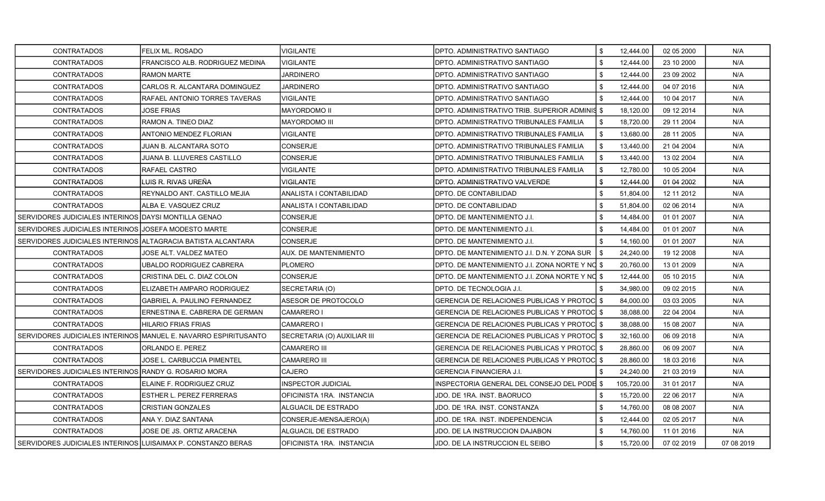| <b>CONTRATADOS</b>                                           | FELIX ML. ROSADO                                                | <b>VIGILANTE</b>             | DPTO. ADMINISTRATIVO SANTIAGO                       | \$<br>12,444.00  | 02 05 2000 | N/A        |
|--------------------------------------------------------------|-----------------------------------------------------------------|------------------------------|-----------------------------------------------------|------------------|------------|------------|
| <b>CONTRATADOS</b>                                           | FRANCISCO ALB. RODRIGUEZ MEDINA                                 | <b>VIGILANTE</b>             | DPTO. ADMINISTRATIVO SANTIAGO                       | \$<br>12,444.00  | 23 10 2000 | N/A        |
| <b>CONTRATADOS</b>                                           | <b>RAMON MARTE</b>                                              | <b>JARDINERO</b>             | IDPTO. ADMINISTRATIVO SANTIAGO                      | 12,444.00        | 23 09 2002 | N/A        |
| <b>CONTRATADOS</b>                                           | CARLOS R. ALCANTARA DOMINGUEZ                                   | <b>JARDINERO</b>             | DPTO. ADMINISTRATIVO SANTIAGO                       | \$<br>12,444.00  | 04 07 2016 | N/A        |
| <b>CONTRATADOS</b>                                           | RAFAEL ANTONIO TORRES TAVERAS                                   | <b>VIGILANTE</b>             | DPTO. ADMINISTRATIVO SANTIAGO                       | \$<br>12,444.00  | 10 04 2017 | N/A        |
| <b>CONTRATADOS</b>                                           | JOSE FRIAS                                                      | <b>MAYORDOMO II</b>          | DPTO. ADMINISTRATIVO TRIB. SUPERIOR ADMINIS \$      | 18,120.00        | 09 12 2014 | N/A        |
| <b>CONTRATADOS</b>                                           | RAMON A. TINEO DIAZ                                             | <b>MAYORDOMO III</b>         | DPTO. ADMINISTRATIVO TRIBUNALES FAMILIA             | \$<br>18,720.00  | 29 11 2004 | N/A        |
| <b>CONTRATADOS</b>                                           | ANTONIO MENDEZ FLORIAN                                          | VIGILANTE                    | DPTO. ADMINISTRATIVO TRIBUNALES FAMILIA             | \$<br>13,680.00  | 28 11 2005 | N/A        |
| <b>CONTRATADOS</b>                                           | JUAN B. ALCANTARA SOTO                                          | <b>CONSERJE</b>              | DPTO. ADMINISTRATIVO TRIBUNALES FAMILIA             | \$<br>13,440.00  | 21 04 2004 | N/A        |
| <b>CONTRATADOS</b>                                           | JUANA B. LLUVERES CASTILLO                                      | CONSERJE                     | DPTO. ADMINISTRATIVO TRIBUNALES FAMILIA             | \$<br>13,440.00  | 13 02 2004 | N/A        |
| <b>CONTRATADOS</b>                                           | RAFAEL CASTRO                                                   | <b>VIGILANTE</b>             | DPTO. ADMINISTRATIVO TRIBUNALES FAMILIA             | \$<br>12,780.00  | 10 05 2004 | N/A        |
| <b>CONTRATADOS</b>                                           | LUIS R. RIVAS UREÑA                                             | <b>VIGILANTE</b>             | DPTO. ADMINISTRATIVO VALVERDE                       | \$<br>12,444.00  | 01 04 2002 | N/A        |
| <b>CONTRATADOS</b>                                           | REYNALDO ANT. CASTILLO MEJIA                                    | ANALISTA I CONTABILIDAD      | <b>DPTO. DE CONTABILIDAD</b>                        | \$<br>51,804.00  | 12 11 2012 | N/A        |
| CONTRATADOS                                                  | ALBA E. VASQUEZ CRUZ                                            | ANALISTA I CONTABILIDAD      | DPTO. DE CONTABILIDAD                               | \$<br>51,804.00  | 02 06 2014 | N/A        |
| SERVIDORES JUDICIALES INTERINOS DAYSI MONTILLA GENAO         |                                                                 | CONSERJE                     | DPTO. DE MANTENIMIENTO J.I.                         | \$<br>14,484.00  | 01 01 2007 | N/A        |
| SERVIDORES JUDICIALES INTERINOS JJOSEFA MODESTO MARTE        |                                                                 | CONSERJE                     | DPTO. DE MANTENIMIENTO J.I.                         | \$<br>14,484.00  | 01 01 2007 | N/A        |
| SERVIDORES JUDICIALES INTERINOS ALTAGRACIA BATISTA ALCANTARA |                                                                 | <b>CONSERJE</b>              | DPTO. DE MANTENIMIENTO J.I.                         | \$<br>14,160.00  | 01 01 2007 | N/A        |
| <b>CONTRATADOS</b>                                           | JOSE ALT. VALDEZ MATEO                                          | <b>AUX. DE MANTENIMIENTO</b> | DPTO. DE MANTENIMIENTO J.I. D.N. Y ZONA SUR         | \$<br>24,240.00  | 19 12 2008 | N/A        |
| <b>CONTRATADOS</b>                                           | UBALDO RODRIGUEZ CABRERA                                        | <b>PLOMERO</b>               | DPTO. DE MANTENIMIENTO J.I. ZONA NORTE Y NO \$      | 20.760.00        | 13 01 2009 | N/A        |
| <b>CONTRATADOS</b>                                           | CRISTINA DEL C. DIAZ COLON                                      | <b>CONSERJE</b>              | DPTO. DE MANTENIMIENTO J.I. ZONA NORTE Y NO \$      | 12,444.00        | 05 10 2015 | N/A        |
| <b>CONTRATADOS</b>                                           | ELIZABETH AMPARO RODRIGUEZ                                      | SECRETARIA (O)               | DPTO. DE TECNOLOGIA J.I.                            | 34,980.00        | 09 02 2015 | N/A        |
| <b>CONTRATADOS</b>                                           | <b>GABRIEL A. PAULINO FERNANDEZ</b>                             | ASESOR DE PROTOCOLO          | <b>GERENCIA DE RELACIONES PUBLICAS Y PROTOC</b>     | \$<br>84,000.00  | 03 03 2005 | N/A        |
| CONTRATADOS                                                  | ERNESTINA E. CABRERA DE GERMAN                                  | <b>CAMARERO I</b>            | <b>GERENCIA DE RELACIONES PUBLICAS Y PROTOCI \$</b> | 38,088.00        | 22 04 2004 | N/A        |
| <b>CONTRATADOS</b>                                           | <b>HILARIO FRIAS FRIAS</b>                                      | <b>CAMARERO I</b>            | <b>GERENCIA DE RELACIONES PUBLICAS Y PROTOC</b>     | \$<br>38,088.00  | 15 08 2007 | N/A        |
|                                                              | SERVIDORES JUDICIALES INTERINOS MANUEL E. NAVARRO ESPIRITUSANTO | SECRETARIA (O) AUXILIAR III  | GERENCIA DE RELACIONES PUBLICAS Y PROTOCI \$        | 32,160.00        | 06 09 2018 | N/A        |
| <b>CONTRATADOS</b>                                           | ORLANDO E. PEREZ                                                | <b>CAMARERO III</b>          | GERENCIA DE RELACIONES PUBLICAS Y PROTOC            | \$<br>28,860.00  | 06 09 2007 | N/A        |
| <b>CONTRATADOS</b>                                           | JOSE L. CARBUCCIA PIMENTEL                                      | <b>CAMARERO III</b>          | <b>GERENCIA DE RELACIONES PUBLICAS Y PROTOC</b>     | \$<br>28,860.00  | 18 03 2016 | N/A        |
| SERVIDORES JUDICIALES INTERINOS RANDY G. ROSARIO MORA        |                                                                 | <b>CAJERO</b>                | <b>GERENCIA FINANCIERA J.I.</b>                     | 24,240.00        | 21 03 2019 | N/A        |
| <b>CONTRATADOS</b>                                           | ELAINE F. RODRIGUEZ CRUZ                                        | <b>INSPECTOR JUDICIAL</b>    | INSPECTORIA GENERAL DEL CONSEJO DEL PODE            | \$<br>105,720.00 | 31 01 2017 | N/A        |
| <b>CONTRATADOS</b>                                           | ESTHER L. PEREZ FERRERAS                                        | OFICINISTA 1RA. INSTANCIA    | JDO. DE 1RA. INST. BAORUCO                          | \$<br>15,720.00  | 22 06 2017 | N/A        |
| <b>CONTRATADOS</b>                                           | <b>CRISTIAN GONZALES</b>                                        | ALGUACIL DE ESTRADO          | JDO. DE 1RA. INST. CONSTANZA                        | \$<br>14,760.00  | 08 08 2007 | N/A        |
| <b>CONTRATADOS</b>                                           | ANA Y. DIAZ SANTANA                                             | CONSERJE-MENSAJERO(A)        | JDO. DE 1RA. INST. INDEPENDENCIA                    | \$<br>12,444.00  | 02 05 2017 | N/A        |
| <b>CONTRATADOS</b>                                           | JOSE DE JS. ORTIZ ARACENA                                       | ALGUACIL DE ESTRADO          | JDO. DE LA INSTRUCCION DAJABON                      | \$<br>14,760.00  | 11 01 2016 | N/A        |
| SERVIDORES JUDICIALES INTERINOS LUISAIMAX P. CONSTANZO BERAS |                                                                 | OFICINISTA 1RA. INSTANCIA    | JDO. DE LA INSTRUCCION EL SEIBO                     | \$<br>15.720.00  | 07 02 2019 | 07 08 2019 |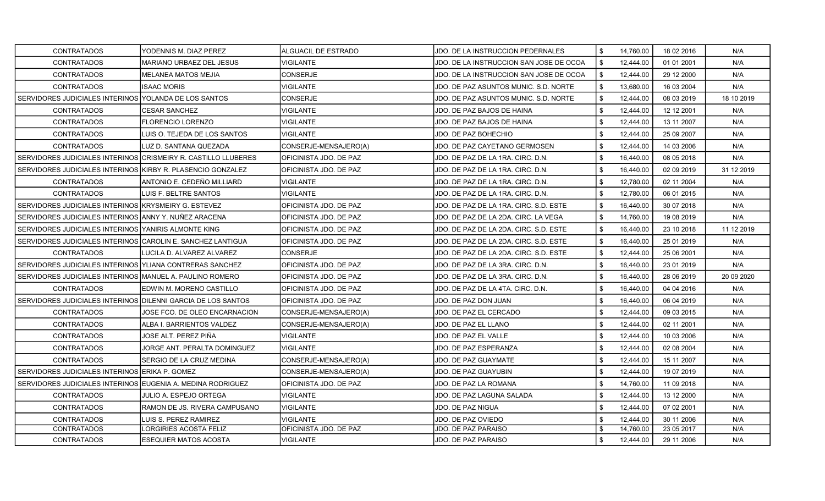| <b>CONTRATADOS</b>                                             | YODENNIS M. DIAZ PEREZ                | ALGUACIL DE ESTRADO    | JDO. DE LA INSTRUCCION PEDERNALES       | \$<br>14.760.00 | 18 02 2016 | N/A         |
|----------------------------------------------------------------|---------------------------------------|------------------------|-----------------------------------------|-----------------|------------|-------------|
| <b>CONTRATADOS</b>                                             | MARIANO URBAEZ DEL JESUS              | <b>VIGILANTE</b>       | JDO. DE LA INSTRUCCION SAN JOSE DE OCOA | \$<br>12,444.00 | 01 01 2001 | N/A         |
| <b>CONTRATADOS</b>                                             | <b>MELANEA MATOS MEJIA</b>            | <b>CONSERJE</b>        | JDO. DE LA INSTRUCCION SAN JOSE DE OCOA | \$<br>12,444.00 | 29 12 2000 | N/A         |
| <b>CONTRATADOS</b>                                             | <b>ISAAC MORIS</b>                    | <b>VIGILANTE</b>       | JDO. DE PAZ ASUNTOS MUNIC. S.D. NORTE   | \$<br>13.680.00 | 16 03 2004 | N/A         |
| SERVIDORES JUDICIALES INTERINOS YOLANDA DE LOS SANTOS          |                                       | CONSERJE               | JDO. DE PAZ ASUNTOS MUNIC. S.D. NORTE   | \$<br>12,444.00 | 08 03 2019 | 18 10 2019  |
| <b>CONTRATADOS</b>                                             | <b>CESAR SANCHEZ</b>                  | <b>VIGILANTE</b>       | JDO. DE PAZ BAJOS DE HAINA              | \$<br>12,444.00 | 12 12 2001 | N/A         |
| <b>CONTRATADOS</b>                                             | <b>FLORENCIO LORENZO</b>              | <b>VIGILANTE</b>       | JDO. DE PAZ BAJOS DE HAINA              | \$<br>12,444.00 | 13 11 2007 | N/A         |
| <b>CONTRATADOS</b>                                             | <b>I</b> LUIS O. TEJEDA DE LOS SANTOS | <b>VIGILANTE</b>       | JDO. DE PAZ BOHECHIO                    | \$<br>12,444.00 | 25 09 2007 | N/A         |
| <b>CONTRATADOS</b>                                             | LUZ D. SANTANA QUEZADA                | CONSERJE-MENSAJERO(A)  | JDO. DE PAZ CAYETANO GERMOSEN           | \$<br>12,444.00 | 14 03 2006 | N/A         |
| SERVIDORES JUDICIALES INTERINOS CRISMEIRY R. CASTILLO LLUBERES |                                       | OFICINISTA JDO. DE PAZ | JDO. DE PAZ DE LA 1RA. CIRC. D.N.       | \$<br>16,440.00 | 08 05 2018 | N/A         |
| SERVIDORES JUDICIALES INTERINOS KIRBY R. PLASENCIO GONZALEZ    |                                       | OFICINISTA JDO. DE PAZ | JDO. DE PAZ DE LA 1RA. CIRC. D.N.       | \$<br>16,440.00 | 02 09 2019 | 31 12 2019  |
| <b>CONTRATADOS</b>                                             | ANTONIO E. CEDEÑO MILLIARD            | <b>VIGILANTE</b>       | JDO. DE PAZ DE LA 1RA. CIRC. D.N.       | \$<br>12,780.00 | 02 11 2004 | N/A         |
| <b>CONTRATADOS</b>                                             | ILUIS F. BELTRE SANTOS                | <b>VIGILANTE</b>       | JDO. DE PAZ DE LA 1RA. CIRC. D.N.       | \$<br>12,780.00 | 06 01 2015 | N/A         |
| SERVIDORES JUDICIALES INTERINOS KRYSMEIRY G. ESTEVEZ           |                                       | OFICINISTA JDO. DE PAZ | JDO. DE PAZ DE LA 1RA. CIRC. S.D. ESTE  | \$<br>16,440.00 | 30 07 2018 | N/A         |
| SERVIDORES JUDICIALES INTERINOS LANNY Y. NUÑEZ ARACENA         |                                       | OFICINISTA JDO. DE PAZ | JDO. DE PAZ DE LA 2DA. CIRC. LA VEGA    | \$<br>14,760.00 | 19 08 2019 | N/A         |
| SERVIDORES JUDICIALES INTERINOS YANIRIS ALMONTE KING           |                                       | OFICINISTA JDO. DE PAZ | JDO. DE PAZ DE LA 2DA. CIRC. S.D. ESTE  | \$<br>16,440.00 | 23 10 2018 | 11 12 2019  |
| SERVIDORES JUDICIALES INTERINOS CAROLIN E. SANCHEZ LANTIGUA    |                                       | OFICINISTA JDO. DE PAZ | JDO. DE PAZ DE LA 2DA. CIRC. S.D. ESTE  | \$<br>16,440.00 | 25 01 2019 | N/A         |
| <b>CONTRATADOS</b>                                             | LUCILA D. ALVAREZ ALVAREZ             | <b>CONSERJE</b>        | JDO. DE PAZ DE LA 2DA. CIRC. S.D. ESTE  | \$<br>12,444.00 | 25 06 2001 | N/A         |
| SERVIDORES JUDICIALES INTERINOS IYLIANA CONTRERAS SANCHEZ      |                                       | OFICINISTA JDO. DE PAZ | JDO. DE PAZ DE LA 3RA. CIRC. D.N.       | \$<br>16,440.00 | 23 01 2019 | N/A         |
| SERVIDORES JUDICIALES INTERINOS MANUEL A. PAULINO ROMERO       |                                       | OFICINISTA JDO. DE PAZ | JDO. DE PAZ DE LA 3RA. CIRC. D.N.       | \$<br>16,440.00 | 28 06 2019 | 20 09 20 20 |
| <b>CONTRATADOS</b>                                             | IEDWIN M. MORENO CASTILLO             | OFICINISTA JDO. DE PAZ | JDO. DE PAZ DE LA 4TA. CIRC. D.N.       | \$<br>16,440.00 | 04 04 2016 | N/A         |
| SERVIDORES JUDICIALES INTERINOS DILENNI GARCIA DE LOS SANTOS   |                                       | OFICINISTA JDO. DE PAZ | JDO. DE PAZ DON JUAN                    | \$<br>16,440.00 | 06 04 2019 | N/A         |
| <b>CONTRATADOS</b>                                             | JOSE FCO. DE OLEO ENCARNACION         | CONSERJE-MENSAJERO(A)  | JDO. DE PAZ EL CERCADO                  | \$<br>12,444.00 | 09 03 2015 | N/A         |
| <b>CONTRATADOS</b>                                             | ALBA I. BARRIENTOS VALDEZ             | CONSERJE-MENSAJERO(A)  | JDO. DE PAZ EL LLANO                    | \$<br>12,444.00 | 02 11 2001 | N/A         |
| <b>CONTRATADOS</b>                                             | JOSE ALT. PEREZ PIÑA                  | <b>VIGILANTE</b>       | JDO. DE PAZ EL VALLE                    | \$<br>12,444.00 | 10 03 2006 | N/A         |
| <b>CONTRATADOS</b>                                             | JORGE ANT. PERALTA DOMINGUEZ          | <b>VIGILANTE</b>       | JDO. DE PAZ ESPERANZA                   | \$<br>12,444.00 | 02 08 2004 | N/A         |
| <b>CONTRATADOS</b>                                             | SERGIO DE LA CRUZ MEDINA              | CONSERJE-MENSAJERO(A)  | JDO. DE PAZ GUAYMATE                    | \$<br>12,444.00 | 15 11 2007 | N/A         |
| SERVIDORES JUDICIALES INTERINOS ERIKA P. GOMEZ                 |                                       | CONSERJE-MENSAJERO(A)  | JDO. DE PAZ GUAYUBIN                    | \$<br>12,444.00 | 19 07 2019 | N/A         |
| SERVIDORES JUDICIALES INTERINOS EUGENIA A. MEDINA RODRIGUEZ    |                                       | OFICINISTA JDO. DE PAZ | JDO. DE PAZ LA ROMANA                   | \$<br>14,760.00 | 11 09 2018 | N/A         |
| <b>CONTRATADOS</b>                                             | <b>JULIO A. ESPEJO ORTEGA</b>         | <b>VIGILANTE</b>       | JDO. DE PAZ LAGUNA SALADA               | \$<br>12,444.00 | 13 12 2000 | N/A         |
| <b>CONTRATADOS</b>                                             | IRAMON DE JS. RIVERA CAMPUSANO        | <b>VIGILANTE</b>       | JDO. DE PAZ NIGUA                       | \$<br>12,444.00 | 07 02 2001 | N/A         |
| <b>CONTRATADOS</b>                                             | LUIS S. PEREZ RAMIREZ                 | <b>VIGILANTE</b>       | JDO. DE PAZ OVIEDO                      | \$<br>12,444.00 | 30 11 2006 | N/A         |
| <b>CONTRATADOS</b>                                             | LORGIRIES ACOSTA FELIZ                | OFICINISTA JDO. DE PAZ | JDO. DE PAZ PARAISO                     | \$<br>14,760.00 | 23 05 2017 | N/A         |
| <b>CONTRATADOS</b>                                             | ESEQUIER MATOS ACOSTA                 | <b>VIGILANTE</b>       | JDO. DE PAZ PARAISO                     | \$<br>12,444.00 | 29 11 2006 | N/A         |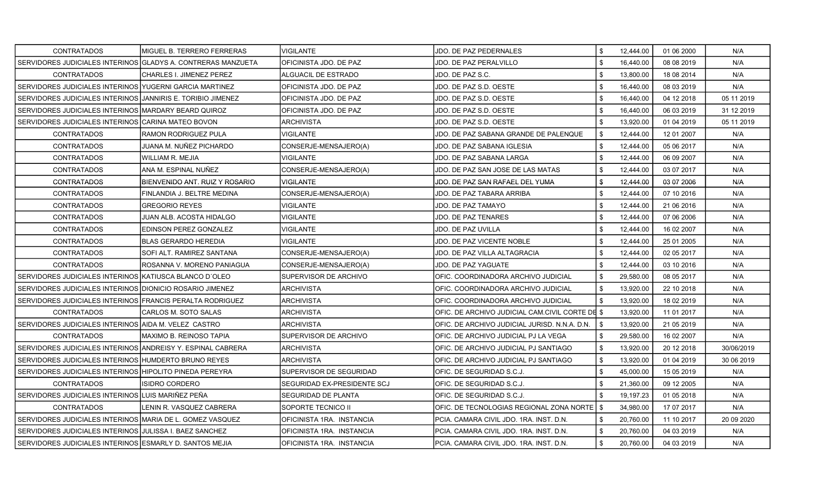| <b>CONTRATADOS</b>                                           | MIGUEL B. TERRERO FERRERAS       | VIGILANTE                   | JDO. DE PAZ PEDERNALES                          | \$<br>12,444.00 | 01 06 2000 | N/A         |
|--------------------------------------------------------------|----------------------------------|-----------------------------|-------------------------------------------------|-----------------|------------|-------------|
| SERVIDORES JUDICIALES INTERINOS GLADYS A. CONTRERAS MANZUETA |                                  | OFICINISTA JDO. DE PAZ      | <b>JDO. DE PAZ PERALVILLO</b>                   | \$<br>16,440.00 | 08 08 2019 | N/A         |
| <b>CONTRATADOS</b>                                           | CHARLES I. JIMENEZ PEREZ         | ALGUACIL DE ESTRADO         | JDO. DE PAZ S.C.                                | \$<br>13,800.00 | 18 08 2014 | N/A         |
| SERVIDORES JUDICIALES INTERINOS YUGERNI GARCIA MARTINEZ      |                                  | OFICINISTA JDO. DE PAZ      | JDO. DE PAZ S.D. OESTE                          | \$<br>16,440.00 | 08 03 2019 | N/A         |
| SERVIDORES JUDICIALES INTERINOS JJANNIRIS E. TORIBIO JIMENEZ |                                  | OFICINISTA JDO. DE PAZ      | JDO. DE PAZ S.D. OESTE                          | \$<br>16,440.00 | 04 12 2018 | 05 11 2019  |
| SERVIDORES JUDICIALES INTERINOS IMARDARY BEARD QUIROZ        |                                  | OFICINISTA JDO. DE PAZ      | JDO. DE PAZ S.D. OESTE                          | \$<br>16,440.00 | 06 03 2019 | 31 12 2019  |
| SERVIDORES JUDICIALES INTERINOS CARINA MATEO BOVON           |                                  | <b>ARCHIVISTA</b>           | JDO. DE PAZ S.D. OESTE                          | \$<br>13,920.00 | 01 04 2019 | 05 11 2019  |
| <b>CONTRATADOS</b>                                           | <b>RAMON RODRIGUEZ PULA</b>      | <b>VIGILANTE</b>            | JDO. DE PAZ SABANA GRANDE DE PALENQUE           | \$<br>12,444.00 | 12 01 2007 | N/A         |
| <b>CONTRATADOS</b>                                           | JUANA M. NUÑEZ PICHARDO          | CONSERJE-MENSAJERO(A)       | JDO. DE PAZ SABANA IGLESIA                      | \$<br>12,444.00 | 05 06 2017 | N/A         |
| <b>CONTRATADOS</b>                                           | WILLIAM R. MEJIA                 | <b>VIGILANTE</b>            | JDO. DE PAZ SABANA LARGA                        | \$<br>12,444.00 | 06 09 2007 | N/A         |
| <b>CONTRATADOS</b>                                           | ANA M. ESPINAL NUÑEZ             | CONSERJE-MENSAJERO(A)       | JDO. DE PAZ SAN JOSE DE LAS MATAS               | \$<br>12,444.00 | 03 07 2017 | N/A         |
| <b>CONTRATADOS</b>                                           | BIENVENIDO ANT. RUIZ Y ROSARIO   | <b>VIGILANTE</b>            | JDO. DE PAZ SAN RAFAEL DEL YUMA                 | \$<br>12,444.00 | 03 07 2006 | N/A         |
| <b>CONTRATADOS</b>                                           | FINLANDIA J. BELTRE MEDINA       | CONSERJE-MENSAJERO(A)       | JDO. DE PAZ TABARA ARRIBA                       | \$<br>12,444.00 | 07 10 2016 | N/A         |
| <b>CONTRATADOS</b>                                           | <b>GREGORIO REYES</b>            | <b>VIGILANTE</b>            | JDO. DE PAZ TAMAYO                              | \$<br>12,444.00 | 21 06 2016 | N/A         |
| <b>CONTRATADOS</b>                                           | JUAN ALB. ACOSTA HIDALGO         | VIGILANTE                   | <b>JDO. DE PAZ TENARES</b>                      | \$<br>12,444.00 | 07 06 2006 | N/A         |
| <b>CONTRATADOS</b>                                           | EDINSON PEREZ GONZALEZ           | <b>VIGILANTE</b>            | JDO. DE PAZ UVILLA                              | \$<br>12,444.00 | 16 02 2007 | N/A         |
| <b>CONTRATADOS</b>                                           | <b>BLAS GERARDO HEREDIA</b>      | <b>VIGILANTE</b>            | JDO. DE PAZ VICENTE NOBLE                       | \$<br>12,444.00 | 25 01 2005 | N/A         |
| <b>CONTRATADOS</b>                                           | <b>SOFI ALT. RAMIREZ SANTANA</b> | CONSERJE-MENSAJERO(A)       | JDO. DE PAZ VILLA ALTAGRACIA                    | \$<br>12,444.00 | 02 05 2017 | N/A         |
| <b>CONTRATADOS</b>                                           | ROSANNA V. MORENO PANIAGUA       | CONSERJE-MENSAJERO(A)       | JDO. DE PAZ YAGUATE                             | \$<br>12,444.00 | 03 10 2016 | N/A         |
| SERVIDORES JUDICIALES INTERINOS KATIUSCA BLANCO D'OLEO       |                                  | SUPERVISOR DE ARCHIVO       | OFIC. COORDINADORA ARCHIVO JUDICIAL             | \$<br>29,580.00 | 08 05 2017 | N/A         |
| SERVIDORES JUDICIALES INTERINOS DIONICIO ROSARIO JIMENEZ     |                                  | <b>ARCHIVISTA</b>           | OFIC. COORDINADORA ARCHIVO JUDICIAL             | \$<br>13,920.00 | 22 10 2018 | N/A         |
| SERVIDORES JUDICIALES INTERINOS FRANCIS PERALTA RODRIGUEZ    |                                  | <b>ARCHIVISTA</b>           | OFIC. COORDINADORA ARCHIVO JUDICIAL             | \$<br>13,920.00 | 18 02 2019 | N/A         |
| <b>CONTRATADOS</b>                                           | CARLOS M. SOTO SALAS             | <b>ARCHIVISTA</b>           | OFIC. DE ARCHIVO JUDICIAL CAM.CIVIL CORTE DE \$ | 13.920.00       | 11 01 2017 | N/A         |
| SERVIDORES JUDICIALES INTERINOS AIDA M. VELEZ CASTRO         |                                  | <b>ARCHIVISTA</b>           | OFIC. DE ARCHIVO JUDICIAL JURISD. N.N.A. D.N.   | \$<br>13,920.00 | 21 05 2019 | N/A         |
| <b>CONTRATADOS</b>                                           | MAXIMO B. REINOSO TAPIA          | SUPERVISOR DE ARCHIVO       | OFIC. DE ARCHIVO JUDICIAL PJ LA VEGA            | \$<br>29,580.00 | 16 02 2007 | N/A         |
| SERVIDORES JUDICIALES INTERINOS ANDREISY Y. ESPINAL CABRERA  |                                  | <b>ARCHIVISTA</b>           | OFIC. DE ARCHIVO JUDICIAL PJ SANTIAGO           | \$<br>13,920.00 | 20 12 2018 | 30/06/2019  |
| SERVIDORES JUDICIALES INTERINOS HUMDERTO BRUNO REYES         |                                  | <b>ARCHIVISTA</b>           | IOFIC. DE ARCHIVO JUDICIAL PJ SANTIAGO          | \$<br>13,920.00 | 01 04 2019 | 30 06 2019  |
| SERVIDORES JUDICIALES INTERINOS HIPOLITO PINEDA PEREYRA      |                                  | SUPERVISOR DE SEGURIDAD     | OFIC. DE SEGURIDAD S.C.J.                       | \$<br>45,000.00 | 15 05 2019 | N/A         |
| <b>CONTRATADOS</b>                                           | <b>ISIDRO CORDERO</b>            | SEGURIDAD EX-PRESIDENTE SCJ | OFIC. DE SEGURIDAD S.C.J.                       | \$<br>21,360.00 | 09 12 2005 | N/A         |
| SERVIDORES JUDICIALES INTERINOS LUIS MARIÑEZ PEÑA            |                                  | SEGURIDAD DE PLANTA         | OFIC. DE SEGURIDAD S.C.J.                       | \$<br>19,197.23 | 01 05 2018 | N/A         |
| <b>CONTRATADOS</b>                                           | LENIN R. VASQUEZ CABRERA         | SOPORTE TECNICO II          | OFIC. DE TECNOLOGIAS REGIONAL ZONA NORTE   \$   | 34,980.00       | 17 07 2017 | N/A         |
| SERVIDORES JUDICIALES INTERINOS MARIA DE L. GOMEZ VASQUEZ    |                                  | OFICINISTA 1RA. INSTANCIA   | PCIA. CAMARA CIVIL JDO. 1RA. INST. D.N.         | \$<br>20,760.00 | 11 10 2017 | 20 09 20 20 |
| SERVIDORES JUDICIALES INTERINOS JJULISSA I. BAEZ SANCHEZ     |                                  | OFICINISTA 1RA. INSTANCIA   | PCIA, CAMARA CIVIL JDO, 1RA, INST, D.N.         | 20,760.00       | 04 03 2019 | N/A         |
| SERVIDORES JUDICIALES INTERINOS ESMARLY D. SANTOS MEJIA      |                                  | OFICINISTA 1RA. INSTANCIA   | PCIA. CAMARA CIVIL JDO. 1RA. INST. D.N.         | \$<br>20,760.00 | 04 03 2019 | N/A         |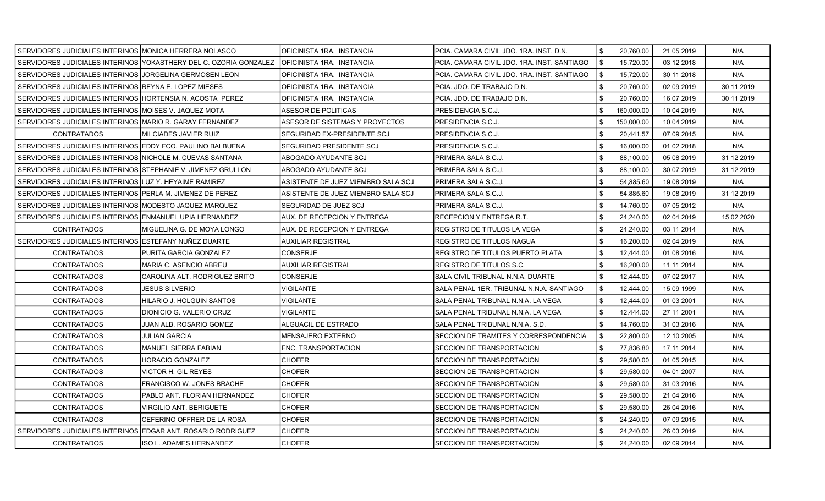| SERVIDORES JUDICIALES INTERINOS MONICA HERRERA NOLASCO        |                                                                    | OFICINISTA 1RA. INSTANCIA          | PCIA, CAMARA CIVIL JDO, 1RA, INST, D.N.     | \$<br>20,760.00  | 21 05 2019 | N/A        |
|---------------------------------------------------------------|--------------------------------------------------------------------|------------------------------------|---------------------------------------------|------------------|------------|------------|
|                                                               | SERVIDORES JUDICIALES INTERINOS IYOKASTHERY DEL C. OZORIA GONZALEZ | IOFICINISTA 1RA. INSTANCIA         | PCIA. CAMARA CIVIL JDO. 1RA. INST. SANTIAGO | \$<br>15,720.00  | 03 12 2018 | N/A        |
| SERVIDORES JUDICIALES INTERINOS JJORGELINA GERMOSEN LEON      |                                                                    | OFICINISTA 1RA. INSTANCIA          | PCIA. CAMARA CIVIL JDO. 1RA. INST. SANTIAGO | \$<br>15,720.00  | 30 11 2018 | N/A        |
| SERVIDORES JUDICIALES INTERINOS IREYNA E. LOPEZ MIESES        |                                                                    | IOFICINISTA 1RA. INSTANCIA         | PCIA. JDO. DE TRABAJO D.N.                  | \$<br>20,760.00  | 02 09 2019 | 30 11 2019 |
| SERVIDORES JUDICIALES INTERINOS HORTENSIA N. ACOSTA PEREZ     |                                                                    | OFICINISTA 1RA. INSTANCIA          | PCIA. JDO. DE TRABAJO D.N.                  | \$<br>20,760.00  | 16 07 2019 | 30 11 2019 |
| SERVIDORES JUDICIALES INTERINOS IMOISES V. JAQUEZ MOTA        |                                                                    | ASESOR DE POLITICAS                | PRESIDENCIA S.C.J.                          | \$<br>160,000.00 | 10 04 2019 | N/A        |
| SERVIDORES JUDICIALES INTERINOS MARIO R. GARAY FERNANDEZ      |                                                                    | ASESOR DE SISTEMAS Y PROYECTOS     | PRESIDENCIA S.C.J.                          | 150,000.00       | 10 04 2019 | N/A        |
| <b>CONTRATADOS</b>                                            | MILCIADES JAVIER RUIZ                                              | ISEGURIDAD EX-PRESIDENTE SCJ       | PRESIDENCIA S.C.J.                          | \$<br>20,441.57  | 07 09 2015 | N/A        |
| SERVIDORES JUDICIALES INTERINOS EDDY FCO. PAULINO BALBUENA    |                                                                    | <b>SEGURIDAD PRESIDENTE SCJ</b>    | PRESIDENCIA S.C.J.                          | \$<br>16,000.00  | 01 02 2018 | N/A        |
| SERVIDORES JUDICIALES INTERINOS INICHOLE M. CUEVAS SANTANA    |                                                                    | ABOGADO AYUDANTE SCJ               | PRIMERA SALA S.C.J.                         | \$<br>88,100.00  | 05 08 2019 | 31 12 2019 |
| SERVIDORES JUDICIALES INTERINOS ISTEPHANIE V. JIMENEZ GRULLON |                                                                    | ABOGADO AYUDANTE SCJ               | PRIMERA SALA S.C.J.                         | \$<br>88,100.00  | 30 07 2019 | 31 12 2019 |
| SERVIDORES JUDICIALES INTERINOS ILUZ Y. HEYAIME RAMIREZ       |                                                                    | ASISTENTE DE JUEZ MIEMBRO SALA SCJ | PRIMERA SALA S.C.J.                         | 54,885.60        | 19 08 2019 | N/A        |
| SERVIDORES JUDICIALES INTERINOS PERLA M. JIMENEZ DE PEREZ     |                                                                    | ASISTENTE DE JUEZ MIEMBRO SALA SCJ | PRIMERA SALA S.C.J.                         | 54,885.60        | 19 08 2019 | 31 12 2019 |
| SERVIDORES JUDICIALES INTERINOS IMODESTO JAQUEZ MARQUEZ       |                                                                    | ISEGURIDAD DE JUEZ SCJ             | PRIMERA SALA S.C.J.                         | \$<br>14,760.00  | 07 05 2012 | N/A        |
| SERVIDORES JUDICIALES INTERINOS ENMANUEL UPIA HERNANDEZ       |                                                                    | AUX. DE RECEPCION Y ENTREGA        | RECEPCION Y ENTREGA R.T.                    | \$<br>24,240.00  | 02 04 2019 | 15 02 2020 |
| CONTRATADOS                                                   | MIGUELINA G. DE MOYA LONGO                                         | AUX. DE RECEPCION Y ENTREGA        | REGISTRO DE TITULOS LA VEGA                 | \$<br>24,240.00  | 03 11 2014 | N/A        |
| SERVIDORES JUDICIALES INTERINOS ESTEFANY NUÑEZ DUARTE         |                                                                    | AUXILIAR REGISTRAL                 | REGISTRO DE TITULOS NAGUA                   | \$<br>16,200.00  | 02 04 2019 | N/A        |
| <b>CONTRATADOS</b>                                            | PURITA GARCIA GONZALEZ                                             | <b>CONSERJE</b>                    | REGISTRO DE TITULOS PUERTO PLATA            | \$<br>12,444.00  | 01 08 2016 | N/A        |
| <b>CONTRATADOS</b>                                            | <b>MARIA C. ASENCIO ABREU</b>                                      | <b>AUXILIAR REGISTRAL</b>          | REGISTRO DE TITULOS S.C.                    | \$<br>16,200.00  | 11 11 2014 | N/A        |
| <b>CONTRATADOS</b>                                            | CAROLINA ALT. RODRIGUEZ BRITO                                      | CONSERJE                           | SALA CIVIL TRIBUNAL N.N.A. DUARTE           | \$<br>12,444.00  | 07 02 2017 | N/A        |
| <b>CONTRATADOS</b>                                            | JESUS SILVERIO                                                     | VIGILANTE                          | SALA PENAL 1ER. TRIBUNAL N.N.A. SANTIAGO    | \$<br>12,444.00  | 15 09 1999 | N/A        |
| <b>CONTRATADOS</b>                                            | HILARIO J. HOLGUIN SANTOS                                          | <b>VIGILANTE</b>                   | SALA PENAL TRIBUNAL N.N.A. LA VEGA          | \$<br>12,444.00  | 01 03 2001 | N/A        |
| <b>CONTRATADOS</b>                                            | DIONICIO G. VALERIO CRUZ                                           | VIGILANTE                          | SALA PENAL TRIBUNAL N.N.A. LA VEGA          | \$<br>12,444.00  | 27 11 2001 | N/A        |
| <b>CONTRATADOS</b>                                            | JUAN ALB. ROSARIO GOMEZ                                            | ALGUACIL DE ESTRADO                | SALA PENAL TRIBUNAL N.N.A. S.D.             | \$<br>14,760.00  | 31 03 2016 | N/A        |
| <b>CONTRATADOS</b>                                            | JULIAN GARCIA                                                      | MENSAJERO EXTERNO                  | SECCION DE TRAMITES Y CORRESPONDENCIA       | \$<br>22,800.00  | 12 10 2005 | N/A        |
| <b>CONTRATADOS</b>                                            | MANUEL SIERRA FABIAN                                               | <b>ENC. TRANSPORTACION</b>         | <b>SECCION DE TRANSPORTACION</b>            | \$<br>77,836.80  | 17 11 2014 | N/A        |
| <b>CONTRATADOS</b>                                            | HORACIO GONZALEZ                                                   | <b>CHOFER</b>                      | SECCION DE TRANSPORTACION                   | \$<br>29,580.00  | 01 05 2015 | N/A        |
| <b>CONTRATADOS</b>                                            | VICTOR H. GIL REYES                                                | <b>CHOFER</b>                      | <b>SECCION DE TRANSPORTACION</b>            | \$<br>29,580.00  | 04 01 2007 | N/A        |
| <b>CONTRATADOS</b>                                            | FRANCISCO W. JONES BRACHE                                          | <b>CHOFER</b>                      | SECCION DE TRANSPORTACION                   | \$<br>29,580.00  | 31 03 2016 | N/A        |
| <b>CONTRATADOS</b>                                            | PABLO ANT. FLORIAN HERNANDEZ                                       | <b>CHOFER</b>                      | SECCION DE TRANSPORTACION                   | \$<br>29,580.00  | 21 04 2016 | N/A        |
| <b>CONTRATADOS</b>                                            | VIRGILIO ANT. BERIGUETE                                            | <b>CHOFER</b>                      | SECCION DE TRANSPORTACION                   | \$<br>29,580.00  | 26 04 2016 | N/A        |
| <b>CONTRATADOS</b>                                            | CEFERINO OFFRER DE LA ROSA                                         | <b>CHOFER</b>                      | <b>SECCION DE TRANSPORTACION</b>            | \$<br>24,240.00  | 07 09 2015 | N/A        |
| SERVIDORES JUDICIALES INTERINOS EDGAR ANT. ROSARIO RODRIGUEZ  |                                                                    | <b>CHOFER</b>                      | SECCION DE TRANSPORTACION                   | \$<br>24,240.00  | 26 03 2019 | N/A        |
| <b>CONTRATADOS</b>                                            | ISO L. ADAMES HERNANDEZ                                            | <b>CHOFER</b>                      | SECCION DE TRANSPORTACION                   | \$<br>24,240.00  | 02 09 2014 | N/A        |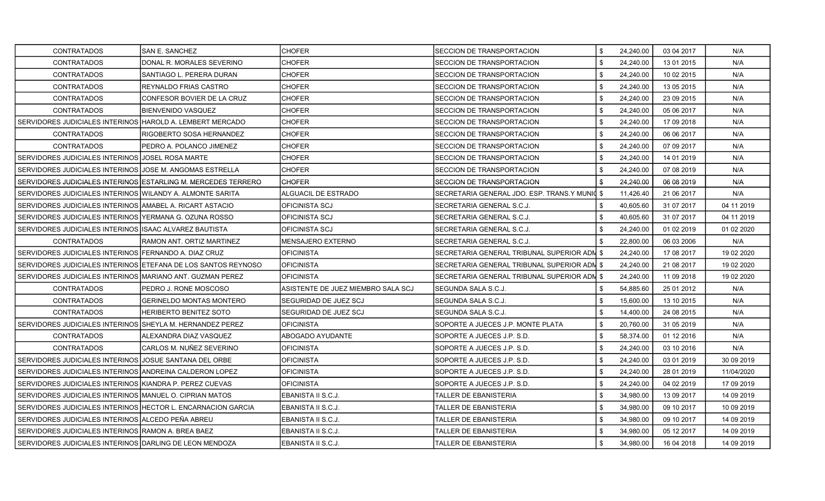| <b>CONTRATADOS</b>                                             | <b>SAN E. SANCHEZ</b>                                         | <b>CHOFER</b>                      | SECCION DE TRANSPORTACION                   | \$<br>24,240.00 | 03 04 2017 | N/A        |
|----------------------------------------------------------------|---------------------------------------------------------------|------------------------------------|---------------------------------------------|-----------------|------------|------------|
| <b>CONTRATADOS</b>                                             | DONAL R. MORALES SEVERINO                                     | CHOFER                             | SECCION DE TRANSPORTACION                   | \$<br>24,240.00 | 13 01 2015 | N/A        |
| <b>CONTRATADOS</b>                                             | SANTIAGO L. PERERA DURAN                                      | <b>CHOFER</b>                      | <b>SECCION DE TRANSPORTACION</b>            | \$<br>24,240.00 | 10 02 2015 | N/A        |
| <b>CONTRATADOS</b>                                             | REYNALDO FRIAS CASTRO                                         | <b>CHOFER</b>                      | <b>SECCION DE TRANSPORTACION</b>            | \$<br>24,240.00 | 13 05 2015 | N/A        |
| <b>CONTRATADOS</b>                                             | CONFESOR BOVIER DE LA CRUZ                                    | <b>CHOFER</b>                      | SECCION DE TRANSPORTACION                   | \$<br>24,240.00 | 23 09 2015 | N/A        |
| <b>CONTRATADOS</b>                                             | BIENVENIDO VASQUEZ                                            | <b>CHOFER</b>                      | SECCION DE TRANSPORTACION                   | \$<br>24,240.00 | 05 06 2017 | N/A        |
| SERVIDORES JUDICIALES INTERINOS HAROLD A. LEMBERT MERCADO      |                                                               | <b>CHOFER</b>                      | <b>SECCION DE TRANSPORTACION</b>            | \$<br>24,240.00 | 17 09 2018 | N/A        |
| <b>CONTRATADOS</b>                                             | RIGOBERTO SOSA HERNANDEZ                                      | <b>CHOFER</b>                      | SECCION DE TRANSPORTACION                   | \$<br>24,240.00 | 06 06 2017 | N/A        |
| <b>CONTRATADOS</b>                                             | PEDRO A. POLANCO JIMENEZ                                      | <b>CHOFER</b>                      | SECCION DE TRANSPORTACION                   | \$<br>24,240.00 | 07 09 2017 | N/A        |
| SERVIDORES JUDICIALES INTERINOS JJOSEL ROSA MARTE              |                                                               | <b>CHOFER</b>                      | SECCION DE TRANSPORTACION                   | \$<br>24,240.00 | 14 01 2019 | N/A        |
| SERVIDORES JUDICIALES INTERINOS JJOSE M. ANGOMAS ESTRELLA      |                                                               | <b>CHOFER</b>                      | <b>SECCION DE TRANSPORTACION</b>            | \$<br>24,240.00 | 07 08 2019 | N/A        |
| SERVIDORES JUDICIALES INTERINOS LESTARLING M. MERCEDES TERRERO |                                                               | <b>CHOFER</b>                      | <b>SECCION DE TRANSPORTACION</b>            | \$<br>24,240.00 | 06 08 2019 | N/A        |
| SERVIDORES JUDICIALES INTERINOS WILANDY A. ALMONTE SARITA      |                                                               | ALGUACIL DE ESTRADO                | SECRETARIA GENERAL JDO. ESP. TRANS.Y MUNIC  | \$<br>11,426.40 | 21 06 2017 | N/A        |
| SERVIDORES JUDICIALES INTERINOS IAMABEL A. RICART ASTACIO      |                                                               | <b>OFICINISTA SCJ</b>              | SECRETARIA GENERAL S.C.J.                   | \$<br>40,605.60 | 31 07 2017 | 04 11 2019 |
| SERVIDORES JUDICIALES INTERINOS YERMANA G. OZUNA ROSSO         |                                                               | OFICINISTA SCJ                     | SECRETARIA GENERAL S.C.J.                   | \$<br>40,605.60 | 31 07 2017 | 04 11 2019 |
| SERVIDORES JUDICIALES INTERINOS IISAAC ALVAREZ BAUTISTA        |                                                               | <b>OFICINISTA SCJ</b>              | SECRETARIA GENERAL S.C.J.                   | \$<br>24,240.00 | 01 02 2019 | 01 02 2020 |
| <b>CONTRATADOS</b>                                             | RAMON ANT. ORTIZ MARTINEZ                                     | <b>MENSAJERO EXTERNO</b>           | SECRETARIA GENERAL S.C.J.                   | \$<br>22,800.00 | 06 03 2006 | N/A        |
| SERVIDORES JUDICIALES INTERINOS FERNANDO A. DIAZ CRUZ          |                                                               | <b>OFICINISTA</b>                  | SECRETARIA GENERAL TRIBUNAL SUPERIOR ADM \$ | 24,240.00       | 17 08 2017 | 19 02 2020 |
|                                                                | SERVIDORES JUDICIALES INTERINOS ETEFANA DE LOS SANTOS REYNOSO | <b>OFICINISTA</b>                  | SECRETARIA GENERAL TRIBUNAL SUPERIOR ADN \$ | 24,240.00       | 21 08 2017 | 19 02 2020 |
| SERVIDORES JUDICIALES INTERINOS MARIANO ANT. GUZMAN PEREZ      |                                                               | <b>OFICINISTA</b>                  | SECRETARIA GENERAL TRIBUNAL SUPERIOR ADN \$ | 24,240.00       | 11 09 2018 | 19 02 2020 |
| <b>CONTRATADOS</b>                                             | PEDRO J. RONE MOSCOSO                                         | ASISTENTE DE JUEZ MIEMBRO SALA SCJ | SEGUNDA SALA S.C.J.                         | \$<br>54,885.60 | 25 01 2012 | N/A        |
| <b>CONTRATADOS</b>                                             | <b>GERINELDO MONTAS MONTERO</b>                               | <b>SEGURIDAD DE JUEZ SCJ</b>       | SEGUNDA SALA S.C.J.                         | \$<br>15,600.00 | 13 10 2015 | N/A        |
| <b>CONTRATADOS</b>                                             | <b>HERIBERTO BENITEZ SOTO</b>                                 | <b>SEGURIDAD DE JUEZ SCJ</b>       | SEGUNDA SALA S.C.J.                         | \$<br>14,400.00 | 24 08 2015 | N/A        |
| SERVIDORES JUDICIALES INTERINOS SHEYLA M. HERNANDEZ PEREZ      |                                                               | <b>OFICINISTA</b>                  | SOPORTE A JUECES J.P. MONTE PLATA           | \$<br>20,760.00 | 31 05 2019 | N/A        |
| <b>CONTRATADOS</b>                                             | ALEXANDRA DIAZ VASQUEZ                                        | ABOGADO AYUDANTE                   | SOPORTE A JUECES J.P. S.D.                  | \$<br>58,374.00 | 01 12 2016 | N/A        |
| <b>CONTRATADOS</b>                                             | CARLOS M. NUÑEZ SEVERINO                                      | <b>OFICINISTA</b>                  | SOPORTE A JUECES J.P. S.D.                  | \$<br>24,240.00 | 03 10 2016 | N/A        |
| SERVIDORES JUDICIALES INTERINOS JJOSUE SANTANA DEL ORBE        |                                                               | <b>OFICINISTA</b>                  | SOPORTE A JUECES J.P. S.D.                  | \$<br>24,240.00 | 03 01 2019 | 30 09 2019 |
| SERVIDORES JUDICIALES INTERINOS ANDREINA CALDERON LOPEZ        |                                                               | <b>OFICINISTA</b>                  | SOPORTE A JUECES J.P. S.D.                  | \$<br>24,240.00 | 28 01 2019 | 11/04/2020 |
| SERVIDORES JUDICIALES INTERINOS KIANDRA P. PEREZ CUEVAS        |                                                               | <b>OFICINISTA</b>                  | SOPORTE A JUECES J.P. S.D.                  | \$<br>24,240.00 | 04 02 2019 | 17 09 2019 |
| SERVIDORES JUDICIALES INTERINOS MANUEL O. CIPRIAN MATOS        |                                                               | EBANISTA II S.C.J.                 | TALLER DE EBANISTERIA                       | \$<br>34,980.00 | 13 09 2017 | 14 09 2019 |
| SERVIDORES JUDICIALES INTERINOS HECTOR L. ENCARNACION GARCIA   |                                                               | EBANISTA II S.C.J.                 | TALLER DE EBANISTERIA                       | \$<br>34,980.00 | 09 10 2017 | 10 09 2019 |
| SERVIDORES JUDICIALES INTERINOS ALCEDO PEÑA ABREU              |                                                               | EBANISTA II S.C.J.                 | TALLER DE EBANISTERIA                       | \$<br>34,980.00 | 09 10 2017 | 14 09 2019 |
| SERVIDORES JUDICIALES INTERINOS RAMON A. BREA BAEZ             |                                                               | EBANISTA II S.C.J.                 | TALLER DE EBANISTERIA                       | \$<br>34,980.00 | 05 12 2017 | 14 09 2019 |
| SERVIDORES JUDICIALES INTERINOS DARLING DE LEON MENDOZA        |                                                               | EBANISTA II S.C.J.                 | TALLER DE EBANISTERIA                       | \$<br>34,980.00 | 16 04 2018 | 14 09 2019 |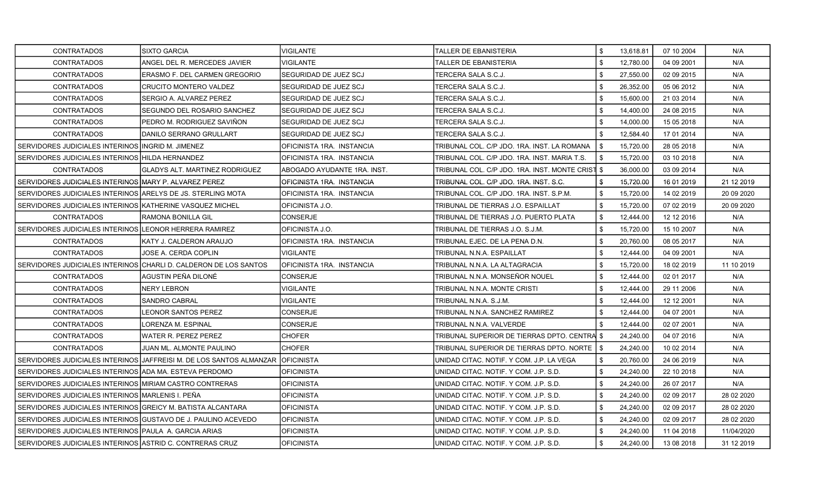| <b>CONTRATADOS</b>                                            | <b>SIXTO GARCIA</b>                                                 | <b>VIGILANTE</b>             | TALLER DE EBANISTERIA                            | \$<br>13,618.81 | 07 10 2004 | N/A         |
|---------------------------------------------------------------|---------------------------------------------------------------------|------------------------------|--------------------------------------------------|-----------------|------------|-------------|
| <b>CONTRATADOS</b>                                            | ANGEL DEL R. MERCEDES JAVIER                                        | <b>VIGILANTE</b>             | TALLER DE EBANISTERIA                            | \$<br>12,780.00 | 04 09 2001 | N/A         |
| <b>CONTRATADOS</b>                                            | <b>ERASMO F. DEL CARMEN GREGORIO</b>                                | <b>SEGURIDAD DE JUEZ SCJ</b> | TERCERA SALA S.C.J.                              | \$<br>27,550.00 | 02 09 2015 | N/A         |
| <b>CONTRATADOS</b>                                            | CRUCITO MONTERO VALDEZ                                              | SEGURIDAD DE JUEZ SCJ        | TERCERA SALA S.C.J.                              | \$<br>26,352.00 | 05 06 2012 | N/A         |
| <b>CONTRATADOS</b>                                            | SERGIO A. ALVAREZ PEREZ                                             | SEGURIDAD DE JUEZ SCJ        | TERCERA SALA S.C.J.                              | \$<br>15,600.00 | 21 03 2014 | N/A         |
| <b>CONTRATADOS</b>                                            | SEGUNDO DEL ROSARIO SANCHEZ                                         | ISEGURIDAD DE JUEZ SCJ       | TERCERA SALA S.C.J.                              | \$<br>14,400.00 | 24 08 2015 | N/A         |
| <b>CONTRATADOS</b>                                            | PEDRO M. RODRIGUEZ SAVIÑON                                          | SEGURIDAD DE JUEZ SCJ        | TERCERA SALA S.C.J.                              | \$<br>14,000.00 | 15 05 2018 | N/A         |
| <b>CONTRATADOS</b>                                            | DANILO SERRANO GRULLART                                             | <b>SEGURIDAD DE JUEZ SCJ</b> | TERCERA SALA S.C.J.                              | \$<br>12,584.40 | 17 01 2014 | N/A         |
| SERVIDORES JUDICIALES INTERINOS INGRID M. JIMENEZ             |                                                                     | OFICINISTA 1RA. INSTANCIA    | TRIBUNAL COL. C/P JDO. 1RA. INST. LA ROMANA      | \$<br>15,720.00 | 28 05 2018 | N/A         |
| SERVIDORES JUDICIALES INTERINOS HILDA HERNANDEZ               |                                                                     | OFICINISTA 1RA. INSTANCIA    | FRIBUNAL COL. C/P JDO. 1RA. INST. MARIA T.S.     | \$<br>15,720.00 | 03 10 2018 | N/A         |
| <b>CONTRATADOS</b>                                            | <b>GLADYS ALT. MARTINEZ RODRIGUEZ</b>                               | ABOGADO AYUDANTE 1RA. INST.  | TRIBUNAL COL. C/P JDO. 1RA. INST. MONTE CRIST \$ | 36,000.00       | 03 09 2014 | N/A         |
| SERVIDORES JUDICIALES INTERINOS MARY P. ALVAREZ PEREZ         |                                                                     | OFICINISTA 1RA. INSTANCIA    | TRIBUNAL COL. C/P JDO. 1RA. INST. S.C.           | \$<br>15,720.00 | 16 01 2019 | 21 12 2019  |
| SERVIDORES JUDICIALES INTERINOS ARELYS DE JS. STERLING MOTA   |                                                                     | OFICINISTA 1RA. INSTANCIA    | TRIBUNAL COL. C/P JDO. 1RA. INST. S.P.M.         | \$<br>15,720.00 | 14 02 2019 | 20 09 20 20 |
| SERVIDORES JUDICIALES INTERINOS IKATHERINE VASQUEZ MICHEL     |                                                                     | OFICINISTA J.O.              | TRIBUNAL DE TIERRAS J.O. ESPAILLAT               | \$<br>15,720.00 | 07 02 2019 | 20 09 20 20 |
| <b>CONTRATADOS</b>                                            | RAMONA BONILLA GIL                                                  | CONSERJE                     | TRIBUNAL DE TIERRAS J.O. PUERTO PLATA            | \$<br>12,444.00 | 12 12 2016 | N/A         |
| SERVIDORES JUDICIALES INTERINOS LEONOR HERRERA RAMIREZ        |                                                                     | OFICINISTA J.O.              | TRIBUNAL DE TIERRAS J.O. S.J.M.                  | \$<br>15,720.00 | 15 10 2007 | N/A         |
| <b>CONTRATADOS</b>                                            | KATY J. CALDERON ARAUJO                                             | OFICINISTA 1RA. INSTANCIA    | TRIBUNAL EJEC. DE LA PENA D.N.                   | \$<br>20,760.00 | 08 05 2017 | N/A         |
| <b>CONTRATADOS</b>                                            | JOSE A. CERDA COPLIN                                                | <b>VIGILANTE</b>             | TRIBUNAL N.N.A. ESPAILLAT                        | \$<br>12,444.00 | 04 09 2001 | N/A         |
|                                                               | SERVIDORES JUDICIALES INTERINOS CHARLI D. CALDERON DE LOS SANTOS    | OFICINISTA 1RA. INSTANCIA    | TRIBUNAL N.N.A. LA ALTAGRACIA                    | \$<br>15,720.00 | 18 02 2019 | 11 10 2019  |
| <b>CONTRATADOS</b>                                            | AGUSTIN PEÑA DILONÉ                                                 | CONSERJE                     | TRIBUNAL N.N.A. MONSEÑOR NOUEL                   | \$<br>12,444.00 | 02 01 2017 | N/A         |
| <b>CONTRATADOS</b>                                            | NERY LEBRON                                                         | VIGILANTE                    | TRIBUNAL N.N.A. MONTE CRISTI                     | \$<br>12,444.00 | 29 11 2006 | N/A         |
| CONTRATADOS                                                   | <b>SANDRO CABRAL</b>                                                | <b>VIGILANTE</b>             | TRIBUNAL N.N.A. S.J.M.                           | \$<br>12,444.00 | 12 12 2001 | N/A         |
| <b>CONTRATADOS</b>                                            | <b>LEONOR SANTOS PEREZ</b>                                          | <b>CONSERJE</b>              | TRIBUNAL N.N.A. SANCHEZ RAMIREZ                  | \$<br>12,444.00 | 04 07 2001 | N/A         |
| <b>CONTRATADOS</b>                                            | LORENZA M. ESPINAL                                                  | <b>CONSERJE</b>              | TRIBUNAL N.N.A. VALVERDE                         | 12,444.00       | 02 07 2001 | N/A         |
| <b>CONTRATADOS</b>                                            | <b>WATER R. PEREZ PEREZ</b>                                         | <b>CHOFER</b>                | TRIBUNAL SUPERIOR DE TIERRAS DPTO. CENTRAÍ \$    | 24.240.00       | 04 07 2016 | N/A         |
| <b>CONTRATADOS</b>                                            | JUAN ML. ALMONTE PAULINO                                            | <b>CHOFER</b>                | TRIBUNAL SUPERIOR DE TIERRAS DPTO. NORTE   \$    | 24,240.00       | 10 02 2014 | N/A         |
|                                                               | SERVIDORES JUDICIALES INTERINOS JAFFREISI M. DE LOS SANTOS ALMANZAR | <b>OFICINISTA</b>            | UNIDAD CITAC, NOTIF, Y COM, J.P. LA VEGA         | \$<br>20,760.00 | 24 06 2019 | N/A         |
| SERVIDORES JUDICIALES INTERINOS ADA MA. ESTEVA PERDOMO        |                                                                     | <b>OFICINISTA</b>            | UNIDAD CITAC, NOTIF, Y COM, J.P. S.D.            | \$<br>24,240.00 | 22 10 2018 | N/A         |
| SERVIDORES JUDICIALES INTERINOS MIRIAM CASTRO CONTRERAS       |                                                                     | <b>OFICINISTA</b>            | UNIDAD CITAC, NOTIF, Y COM, J.P. S.D.            | \$<br>24,240.00 | 26 07 2017 | N/A         |
| SERVIDORES JUDICIALES INTERINOS MARLENIS I. PEÑA              |                                                                     | <b>OFICINISTA</b>            | UNIDAD CITAC. NOTIF. Y COM. J.P. S.D.            | \$<br>24,240.00 | 02 09 2017 | 28 02 2020  |
| SERVIDORES JUDICIALES INTERINOS GREICY M. BATISTA ALCANTARA   |                                                                     | <b>OFICINISTA</b>            | UNIDAD CITAC, NOTIF, Y COM, J.P. S.D.            | \$<br>24,240.00 | 02 09 2017 | 28 02 2020  |
| SERVIDORES JUDICIALES INTERINOS GUSTAVO DE J. PAULINO ACEVEDO |                                                                     | <b>OFICINISTA</b>            | UNIDAD CITAC. NOTIF. Y COM. J.P. S.D.            | \$<br>24,240.00 | 02 09 2017 | 28 02 2020  |
| SERVIDORES JUDICIALES INTERINOS PAULA A. GARCIA ARIAS         |                                                                     | <b>OFICINISTA</b>            | IUNIDAD CITAC. NOTIF. Y COM. J.P. S.D.           | 24,240.00       | 11 04 2018 | 11/04/2020  |
| SERVIDORES JUDICIALES INTERINOS ASTRID C. CONTRERAS CRUZ      |                                                                     | <b>OFICINISTA</b>            | UNIDAD CITAC. NOTIF. Y COM. J.P. S.D.            | \$<br>24,240.00 | 13 08 2018 | 31 12 2019  |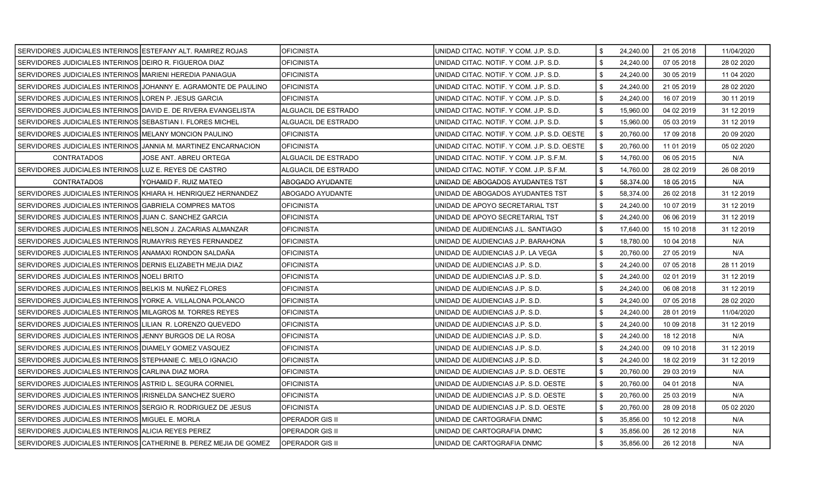| SERVIDORES JUDICIALES INTERINOS ESTEFANY ALT. RAMIREZ ROJAS     |                                                                   | <b>OFICINISTA</b>      | UNIDAD CITAC. NOTIF. Y COM. J.P. S.D.       | \$<br>24,240.00 | 21 05 2018 | 11/04/2020  |
|-----------------------------------------------------------------|-------------------------------------------------------------------|------------------------|---------------------------------------------|-----------------|------------|-------------|
| SERVIDORES JUDICIALES INTERINOS DEIRO R. FIGUEROA DIAZ          |                                                                   | <b>OFICINISTA</b>      | UNIDAD CITAC, NOTIF, Y COM, J.P. S.D.       | \$<br>24,240.00 | 07 05 2018 | 28 02 2020  |
| SERVIDORES JUDICIALES INTERINOS MARIENI HEREDIA PANIAGUA        |                                                                   | <b>OFICINISTA</b>      | UNIDAD CITAC. NOTIF. Y COM. J.P. S.D.       | \$<br>24,240.00 | 30 05 2019 | 11 04 2020  |
|                                                                 | SERVIDORES JUDICIALES INTERINOS JJOHANNY E. AGRAMONTE DE PAULINO  | IOFICINISTA            | UNIDAD CITAC. NOTIF. Y COM. J.P. S.D.       | \$<br>24,240.00 | 21 05 2019 | 28 02 2020  |
| SERVIDORES JUDICIALES INTERINOS LOREN P. JESUS GARCIA           |                                                                   | <b>OFICINISTA</b>      | UNIDAD CITAC. NOTIF. Y COM. J.P. S.D.       | \$<br>24,240.00 | 16 07 2019 | 30 11 2019  |
| SERVIDORES JUDICIALES INTERINOS IDAVID E. DE RIVERA EVANGELISTA |                                                                   | ALGUACIL DE ESTRADO    | UNIDAD CITAC. NOTIF. Y COM. J.P. S.D.       | \$<br>15,960.00 | 04 02 2019 | 31 12 2019  |
| SERVIDORES JUDICIALES INTERINOS SEBASTIAN I. FLORES MICHEL      |                                                                   | ALGUACIL DE ESTRADO    | UNIDAD CITAC. NOTIF. Y COM. J.P. S.D.       | \$<br>15,960.00 | 05 03 2019 | 31 12 2019  |
| SERVIDORES JUDICIALES INTERINOS MELANY MONCION PAULINO          |                                                                   | <b>OFICINISTA</b>      | UNIDAD CITAC. NOTIF. Y COM. J.P. S.D. OESTE | \$<br>20,760.00 | 17 09 2018 | 20 09 20 20 |
| SERVIDORES JUDICIALES INTERINOS JANNIA M. MARTINEZ ENCARNACION  |                                                                   | <b>OFICINISTA</b>      | UNIDAD CITAC. NOTIF. Y COM. J.P. S.D. OESTE | \$<br>20,760.00 | 11 01 2019 | 05 02 2020  |
| <b>CONTRATADOS</b>                                              | JOSE ANT. ABREU ORTEGA                                            | ALGUACIL DE ESTRADO    | UNIDAD CITAC. NOTIF. Y COM. J.P. S.F.M.     | \$<br>14,760.00 | 06 05 2015 | N/A         |
| SERVIDORES JUDICIALES INTERINOS LUZ E. REYES DE CASTRO          |                                                                   | ALGUACIL DE ESTRADO    | UNIDAD CITAC. NOTIF. Y COM. J.P. S.F.M.     | \$<br>14,760.00 | 28 02 2019 | 26 08 2019  |
| <b>CONTRATADOS</b>                                              | YOHAMID F. RUIZ MATEO                                             | ABOGADO AYUDANTE       | UNIDAD DE ABOGADOS AYUDANTES TST            | \$<br>58,374.00 | 18 05 2015 | N/A         |
| SERVIDORES JUDICIALES INTERINOS KHIARA H. HENRIQUEZ HERNANDEZ   |                                                                   | ABOGADO AYUDANTE       | UNIDAD DE ABOGADOS AYUDANTES TST            | \$<br>58,374.00 | 26 02 2018 | 31 12 2019  |
| SERVIDORES JUDICIALES INTERINOS GABRIELA COMPRES MATOS          |                                                                   | <b>OFICINISTA</b>      | UNIDAD DE APOYO SECRETARIAL TST             | \$<br>24,240.00 | 10 07 2019 | 31 12 2019  |
| SERVIDORES JUDICIALES INTERINOS JJUAN C. SANCHEZ GARCIA         |                                                                   | <b>OFICINISTA</b>      | UNIDAD DE APOYO SECRETARIAL TST             | \$<br>24.240.00 | 06 06 2019 | 31 12 2019  |
| SERVIDORES JUDICIALES INTERINOS INELSON J. ZACARIAS ALMANZAR    |                                                                   | <b>OFICINISTA</b>      | UNIDAD DE AUDIENCIAS J.L. SANTIAGO          | \$<br>17,640.00 | 15 10 2018 | 31 12 2019  |
| SERVIDORES JUDICIALES INTERINOS RUMAYRIS REYES FERNANDEZ        |                                                                   | <b>OFICINISTA</b>      | UNIDAD DE AUDIENCIAS J.P. BARAHONA          | \$<br>18,780.00 | 10 04 2018 | N/A         |
| SERVIDORES JUDICIALES INTERINOS ANAMAXI RONDON SALDAÑA          |                                                                   | <b>OFICINISTA</b>      | UNIDAD DE AUDIENCIAS J.P. LA VEGA           | \$<br>20,760.00 | 27 05 2019 | N/A         |
| SERVIDORES JUDICIALES INTERINOS IDERNIS ELIZABETH MEJIA DIAZ    |                                                                   | <b>OFICINISTA</b>      | UNIDAD DE AUDIENCIAS J.P. S.D.              | \$<br>24,240.00 | 07 05 2018 | 28 11 2019  |
| SERVIDORES JUDICIALES INTERINOS NOELI BRITO                     |                                                                   | <b>OFICINISTA</b>      | UNIDAD DE AUDIENCIAS J.P. S.D.              | \$<br>24,240.00 | 02 01 2019 | 31 12 2019  |
| SERVIDORES JUDICIALES INTERINOS BELKIS M. NUÑEZ FLORES          |                                                                   | <b>OFICINISTA</b>      | UNIDAD DE AUDIENCIAS J.P. S.D.              | \$<br>24,240.00 | 06 08 2018 | 31 12 2019  |
| SERVIDORES JUDICIALES INTERINOS YORKE A. VILLALONA POLANCO      |                                                                   | <b>OFICINISTA</b>      | UNIDAD DE AUDIENCIAS J.P. S.D.              | \$<br>24,240.00 | 07 05 2018 | 28 02 2020  |
| SERVIDORES JUDICIALES INTERINOS MILAGROS M. TORRES REYES        |                                                                   | <b>OFICINISTA</b>      | UNIDAD DE AUDIENCIAS J.P. S.D.              | \$<br>24,240.00 | 28 01 2019 | 11/04/2020  |
| SERVIDORES JUDICIALES INTERINOS LILIAN R. LORENZO QUEVEDO       |                                                                   | <b>OFICINISTA</b>      | UNIDAD DE AUDIENCIAS J.P. S.D.              | \$<br>24,240.00 | 10 09 2018 | 31 12 2019  |
| SERVIDORES JUDICIALES INTERINOS JJENNY BURGOS DE LA ROSA        |                                                                   | <b>OFICINISTA</b>      | UNIDAD DE AUDIENCIAS J.P. S.D.              | \$<br>24,240.00 | 18 12 2018 | N/A         |
| SERVIDORES JUDICIALES INTERINOS DIAMELY GOMEZ VASQUEZ           |                                                                   | <b>OFICINISTA</b>      | UNIDAD DE AUDIENCIAS J.P. S.D.              | \$<br>24,240.00 | 09 10 2018 | 31 12 2019  |
| SERVIDORES JUDICIALES INTERINOS ISTEPHANIE C. MELO IGNACIO      |                                                                   | <b>OFICINISTA</b>      | UNIDAD DE AUDIENCIAS J.P. S.D.              | \$<br>24,240.00 | 18 02 2019 | 31 12 2019  |
| SERVIDORES JUDICIALES INTERINOS CARLINA DIAZ MORA               |                                                                   | <b>OFICINISTA</b>      | UNIDAD DE AUDIENCIAS J.P. S.D. OESTE        | \$<br>20,760.00 | 29 03 2019 | N/A         |
| SERVIDORES JUDICIALES INTERINOS ASTRID L. SEGURA CORNIEL        |                                                                   | <b>OFICINISTA</b>      | UNIDAD DE AUDIENCIAS J.P. S.D. OESTE        | \$<br>20.760.00 | 04 01 2018 | N/A         |
| SERVIDORES JUDICIALES INTERINOS IRISNELDA SANCHEZ SUERO         |                                                                   | <b>OFICINISTA</b>      | UNIDAD DE AUDIENCIAS J.P. S.D. OESTE        | \$<br>20,760.00 | 25 03 2019 | N/A         |
| SERVIDORES JUDICIALES INTERINOS SERGIO R. RODRIGUEZ DE JESUS    |                                                                   | <b>OFICINISTA</b>      | UNIDAD DE AUDIENCIAS J.P. S.D. OESTE        | \$<br>20,760.00 | 28 09 2018 | 05 02 2020  |
| SERVIDORES JUDICIALES INTERINOS MIGUEL E. MORLA                 |                                                                   | <b>OPERADOR GIS II</b> | UNIDAD DE CARTOGRAFIA DNMC                  | \$<br>35,856.00 | 10 12 2018 | N/A         |
| SERVIDORES JUDICIALES INTERINOS ALICIA REYES PEREZ              |                                                                   | <b>OPERADOR GIS II</b> | UNIDAD DE CARTOGRAFIA DNMC                  | \$<br>35,856.00 | 26 12 2018 | N/A         |
|                                                                 | SERVIDORES JUDICIALES INTERINOS CATHERINE B. PEREZ MEJIA DE GOMEZ | <b>OPERADOR GIS II</b> | UNIDAD DE CARTOGRAFIA DNMC                  | \$<br>35,856.00 | 26 12 2018 | N/A         |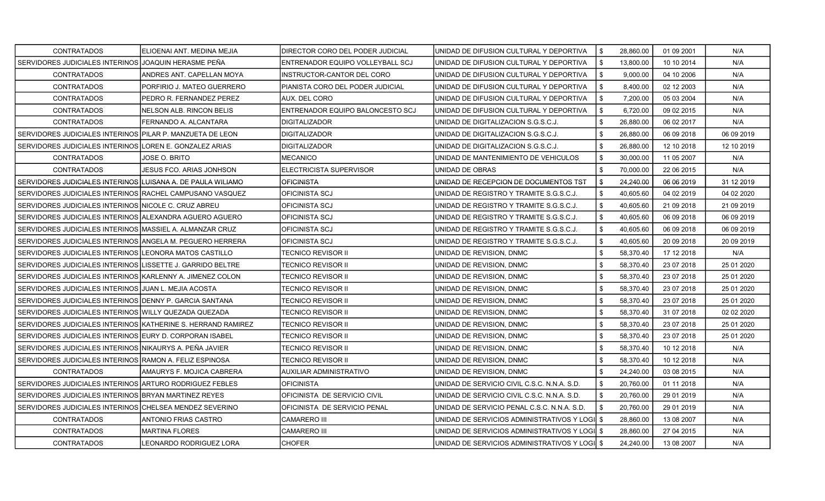| <b>CONTRATADOS</b>                                           | ELIOENAI ANT. MEDINA MEJIA       | DIRECTOR CORO DEL PODER JUDICIAL | IUNIDAD DE DIFUSION CULTURAL Y DEPORTIVA       | \$<br>28,860.00 | 01 09 2001 | N/A        |
|--------------------------------------------------------------|----------------------------------|----------------------------------|------------------------------------------------|-----------------|------------|------------|
| SERVIDORES JUDICIALES INTERINOS JJOAQUIN HERASME PEÑA        |                                  | ENTRENADOR EQUIPO VOLLEYBALL SCJ | UNIDAD DE DIFUSION CULTURAL Y DEPORTIVA        | \$<br>13,800.00 | 10 10 2014 | N/A        |
| <b>CONTRATADOS</b>                                           | ANDRES ANT. CAPELLAN MOYA        | INSTRUCTOR-CANTOR DEL CORO       | UNIDAD DE DIFUSION CULTURAL Y DEPORTIVA        | \$<br>9.000.00  | 04 10 2006 | N/A        |
| <b>CONTRATADOS</b>                                           | PORFIRIO J. MATEO GUERRERO       | PIANISTA CORO DEL PODER JUDICIAL | UNIDAD DE DIFUSION CULTURAL Y DEPORTIVA        | \$<br>8,400.00  | 02 12 2003 | N/A        |
| <b>CONTRATADOS</b>                                           | PEDRO R. FERNANDEZ PEREZ         | AUX. DEL CORO                    | UNIDAD DE DIFUSION CULTURAL Y DEPORTIVA        | \$<br>7,200.00  | 05 03 2004 | N/A        |
| <b>CONTRATADOS</b>                                           | NELSON ALB. RINCON BELIS         | ENTRENADOR EQUIPO BALONCESTO SCJ | UNIDAD DE DIFUSION CULTURAL Y DEPORTIVA        | \$<br>6,720.00  | 09 02 2015 | N/A        |
| <b>CONTRATADOS</b>                                           | FERNANDO A. ALCANTARA            | <b>DIGITALIZADOR</b>             | UNIDAD DE DIGITALIZACION S.G.S.C.J.            | \$<br>26,880.00 | 06 02 2017 | N/A        |
| SERVIDORES JUDICIALES INTERINOS PILAR P. MANZUETA DE LEON    |                                  | <b>DIGITALIZADOR</b>             | UNIDAD DE DIGITALIZACION S.G.S.C.J.            | \$<br>26,880.00 | 06 09 2018 | 06 09 2019 |
| SERVIDORES JUDICIALES INTERINOS LOREN E. GONZALEZ ARIAS      |                                  | <b>DIGITALIZADOR</b>             | UNIDAD DE DIGITALIZACION S.G.S.C.J.            | \$<br>26,880.00 | 12 10 2018 | 12 10 2019 |
| <b>CONTRATADOS</b>                                           | JOSE O. BRITO                    | MECANICO                         | UNIDAD DE MANTENIMIENTO DE VEHICULOS           | \$<br>30,000.00 | 11 05 2007 | N/A        |
| CONTRATADOS                                                  | <b>JESUS FCO. ARIAS JONHSON</b>  | ELECTRICISTA SUPERVISOR          | UNIDAD DE OBRAS                                | \$<br>70,000.00 | 22 06 2015 | N/A        |
| SERVIDORES JUDICIALES INTERINOS ILUISANA A. DE PAULA WILIAMO |                                  | <b>OFICINISTA</b>                | UNIDAD DE RECEPCION DE DOCUMENTOS TST          | \$<br>24,240.00 | 06 06 2019 | 31 12 2019 |
| SERVIDORES JUDICIALES INTERINOS RACHEL CAMPUSANO VASQUEZ     |                                  | <b>OFICINISTA SCJ</b>            | UNIDAD DE REGISTRO Y TRAMITE S.G.S.C.J.        | \$<br>40,605.60 | 04 02 2019 | 04 02 2020 |
| SERVIDORES JUDICIALES INTERINOS INICOLE C. CRUZ ABREU        |                                  | OFICINISTA SCJ                   | UNIDAD DE REGISTRO Y TRAMITE S.G.S.C.J.        | \$<br>40.605.60 | 21 09 2018 | 21 09 2019 |
| SERVIDORES JUDICIALES INTERINOS (ALEXANDRA AGUERO AGUERO     |                                  | OFICINISTA SCJ                   | UNIDAD DE REGISTRO Y TRAMITE S.G.S.C.J.        | \$<br>40,605.60 | 06 09 2018 | 06 09 2019 |
| SERVIDORES JUDICIALES INTERINOS MASSIEL A. ALMANZAR CRUZ     |                                  | <b>OFICINISTA SCJ</b>            | UNIDAD DE REGISTRO Y TRAMITE S.G.S.C.J.        | \$<br>40,605.60 | 06 09 2018 | 06 09 2019 |
| SERVIDORES JUDICIALES INTERINOS ANGELA M. PEGUERO HERRERA    |                                  | OFICINISTA SCJ                   | UNIDAD DE REGISTRO Y TRAMITE S.G.S.C.J.        | \$<br>40,605.60 | 20 09 2018 | 20 09 2019 |
| SERVIDORES JUDICIALES INTERINOS LEONORA MATOS CASTILLO       |                                  | <b>TECNICO REVISOR II</b>        | UNIDAD DE REVISION. DNMC                       | \$<br>58,370.40 | 17 12 2018 | N/A        |
| SERVIDORES JUDICIALES INTERINOS LISSETTE J. GARRIDO BELTRE   |                                  | <b>TECNICO REVISOR II</b>        | UNIDAD DE REVISION, DNMC                       | \$<br>58,370.40 | 23 07 2018 | 25 01 2020 |
| SERVIDORES JUDICIALES INTERINOS KARLENNY A. JIMENEZ COLON    |                                  | TECNICO REVISOR II               | UNIDAD DE REVISION, DNMC                       | \$<br>58,370.40 | 23 07 2018 | 25 01 2020 |
| SERVIDORES JUDICIALES INTERINOS JJUAN L. MEJIA ACOSTA        |                                  | <b>TECNICO REVISOR II</b>        | UNIDAD DE REVISION, DNMC                       | \$<br>58,370.40 | 23 07 2018 | 25 01 2020 |
| SERVIDORES JUDICIALES INTERINOS DENNY P. GARCIA SANTANA      |                                  | <b>TECNICO REVISOR II</b>        | UNIDAD DE REVISION, DNMC                       | \$<br>58,370.40 | 23 07 2018 | 25 01 2020 |
| SERVIDORES JUDICIALES INTERINOS WILLY QUEZADA QUEZADA        |                                  | <b>TECNICO REVISOR II</b>        | UNIDAD DE REVISION, DNMC                       | \$<br>58,370.40 | 31 07 2018 | 02 02 2020 |
| SERVIDORES JUDICIALES INTERINOS KATHERINE S. HERRAND RAMIREZ |                                  | <b>TECNICO REVISOR II</b>        | UNIDAD DE REVISION, DNMC                       | \$<br>58,370.40 | 23 07 2018 | 25 01 2020 |
| SERVIDORES JUDICIALES INTERINOS IEURY D. CORPORAN ISABEL     |                                  | TECNICO REVISOR II               | UNIDAD DE REVISION, DNMC                       | \$<br>58,370.40 | 23 07 2018 | 25 01 2020 |
| SERVIDORES JUDICIALES INTERINOS NIKAURYS A. PEÑA JAVIER      |                                  | <b>TECNICO REVISOR II</b>        | UNIDAD DE REVISION, DNMC                       | \$<br>58,370.40 | 10 12 2018 | N/A        |
| SERVIDORES JUDICIALES INTERINOS RAMON A. FELIZ ESPINOSA      |                                  | <b>TECNICO REVISOR II</b>        | UNIDAD DE REVISION, DNMC                       | \$<br>58,370.40 | 10 12 2018 | N/A        |
| <b>CONTRATADOS</b>                                           | AMAURYS F. MOJICA CABRERA        | <b>AUXILIAR ADMINISTRATIVO</b>   | UNIDAD DE REVISION, DNMC                       | \$<br>24,240.00 | 03 08 2015 | N/A        |
| SERVIDORES JUDICIALES INTERINOS ARTURO RODRIGUEZ FEBLES      |                                  | <b>OFICINISTA</b>                | UNIDAD DE SERVICIO CIVIL C.S.C. N.N.A. S.D.    | \$<br>20,760.00 | 01 11 2018 | N/A        |
| SERVIDORES JUDICIALES INTERINOS IBRYAN MARTINEZ REYES        |                                  | OFICINISTA DE SERVICIO CIVIL     | UNIDAD DE SERVICIO CIVIL C.S.C. N.N.A. S.D.    | \$<br>20,760.00 | 29 01 2019 | N/A        |
| SERVIDORES JUDICIALES INTERINOS CHELSEA MENDEZ SEVERINO      |                                  | OFICINISTA DE SERVICIO PENAL     | UNIDAD DE SERVICIO PENAL C.S.C. N.N.A. S.D.    | \$<br>20,760.00 | 29 01 2019 | N/A        |
| <b>CONTRATADOS</b>                                           | ANTONIO FRIAS CASTRO             | <b>CAMARERO III</b>              | UNIDAD DE SERVICIOS ADMINISTRATIVOS Y LOGI     | \$<br>28,860.00 | 13 08 2007 | N/A        |
| <b>CONTRATADOS</b>                                           | <b>MARTINA FLORES</b>            | <b>CAMARERO III</b>              | UNIDAD DE SERVICIOS ADMINISTRATIVOS Y LOGI \$  | 28,860.00       | 27 04 2015 | N/A        |
| <b>CONTRATADOS</b>                                           | <b>I</b> LEONARDO RODRIGUEZ LORA | <b>CHOFER</b>                    | UNIDAD DE SERVICIOS ADMINISTRATIVOS Y LOGII \$ | 24.240.00       | 13 08 2007 | N/A        |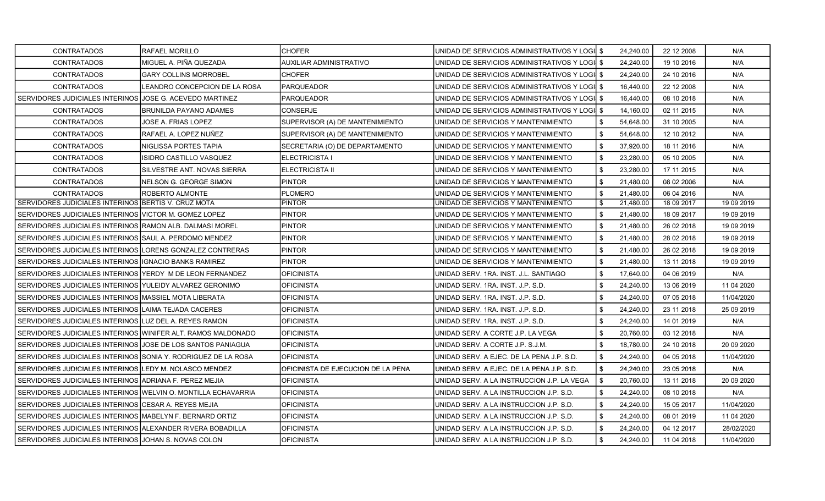| <b>CONTRATADOS</b>                                            | <b>RAFAEL MORILLO</b>         | <b>CHOFER</b>                      | UNIDAD DE SERVICIOS ADMINISTRATIVOS Y LOGII \$ | 24.240.00       | 22 12 2008 | N/A         |
|---------------------------------------------------------------|-------------------------------|------------------------------------|------------------------------------------------|-----------------|------------|-------------|
| <b>CONTRATADOS</b>                                            | MIGUEL A. PIÑA QUEZADA        | <b>AUXILIAR ADMINISTRATIVO</b>     | UNIDAD DE SERVICIOS ADMINISTRATIVOS Y LOGI     | \$<br>24.240.00 | 19 10 2016 | N/A         |
| <b>CONTRATADOS</b>                                            | <b>GARY COLLINS MORROBEL</b>  | <b>CHOFER</b>                      | UNIDAD DE SERVICIOS ADMINISTRATIVOS Y LOGII \$ | 24,240.00       | 24 10 2016 | N/A         |
| <b>CONTRATADOS</b>                                            | LEANDRO CONCEPCION DE LA ROSA | <b>PARQUEADOR</b>                  | UNIDAD DE SERVICIOS ADMINISTRATIVOS Y LOGI \$  | 16,440.00       | 22 12 2008 | N/A         |
| SERVIDORES JUDICIALES INTERINOS JJOSE G. ACEVEDO MARTINEZ     |                               | PARQUEADOR                         | UNIDAD DE SERVICIOS ADMINISTRATIVOS Y LOGII \$ | 16,440.00       | 08 10 2018 | N/A         |
| <b>CONTRATADOS</b>                                            | <b>BRUNILDA PAYANO ADAMES</b> | <b>CONSERJE</b>                    | UNIDAD DE SERVICIOS ADMINISTRATIVOS Y LOGI \$  | 14,160.00       | 02 11 2015 | N/A         |
| <b>CONTRATADOS</b>                                            | JOSE A. FRIAS LOPEZ           | SUPERVISOR (A) DE MANTENIMIENTO    | UNIDAD DE SERVICIOS Y MANTENIMIENTO            | 54,648.00       | 31 10 2005 | N/A         |
| <b>CONTRATADOS</b>                                            | lRAFAEL A. LOPEZ NUÑEZ        | SUPERVISOR (A) DE MANTENIMIENTO    | UNIDAD DE SERVICIOS Y MANTENIMIENTO            | \$<br>54,648.00 | 12 10 2012 | N/A         |
| <b>CONTRATADOS</b>                                            | NIGLISSA PORTES TAPIA         | SECRETARIA (O) DE DEPARTAMENTO     | UNIDAD DE SERVICIOS Y MANTENIMIENTO            | \$<br>37,920.00 | 18 11 2016 | N/A         |
| <b>CONTRATADOS</b>                                            | ISIDRO CASTILLO VASQUEZ       | ELECTRICISTA I                     | UNIDAD DE SERVICIOS Y MANTENIMIENTO            | \$<br>23,280.00 | 05 10 2005 | N/A         |
| <b>CONTRATADOS</b>                                            | SILVESTRE ANT. NOVAS SIERRA   | <b>ELECTRICISTA II</b>             | UNIDAD DE SERVICIOS Y MANTENIMIENTO            | \$<br>23,280.00 | 17 11 2015 | N/A         |
| <b>CONTRATADOS</b>                                            | NELSON G. GEORGE SIMON        | <b>PINTOR</b>                      | UNIDAD DE SERVICIOS Y MANTENIMIENTO            | \$<br>21,480.00 | 08 02 2006 | N/A         |
| <b>CONTRATADOS</b>                                            | ROBERTO ALMONTE               | PLOMERO                            | UNIDAD DE SERVICIOS Y MANTENIMIENTO            | \$<br>21.480.00 | 06 04 2016 | N/A         |
| SERVIDORES JUDICIALES INTERINOS BERTIS V. CRUZ MOTA           |                               | <b>PINTOR</b>                      | UNIDAD DE SERVICIOS Y MANTENIMIENTO            | \$<br>21,480.00 | 18 09 2017 | 19 09 2019  |
| SERVIDORES JUDICIALES INTERINOS VICTOR M. GOMEZ LOPEZ         |                               | PINTOR                             | UNIDAD DE SERVICIOS Y MANTENIMIENTO            | \$<br>21,480.00 | 18 09 2017 | 19 09 2019  |
| SERVIDORES JUDICIALES INTERINOS RAMON ALB. DALMASI MOREL      |                               | <b>PINTOR</b>                      | UNIDAD DE SERVICIOS Y MANTENIMIENTO            | \$<br>21,480.00 | 26 02 2018 | 19 09 2019  |
| SERVIDORES JUDICIALES INTERINOS SAUL A. PERDOMO MENDEZ        |                               | <b>PINTOR</b>                      | UNIDAD DE SERVICIOS Y MANTENIMIENTO            | \$<br>21,480.00 | 28 02 2018 | 19 09 2019  |
| SERVIDORES JUDICIALES INTERINOS LORENS GONZALEZ CONTRERAS     |                               | <b>PINTOR</b>                      | UNIDAD DE SERVICIOS Y MANTENIMIENTO            | \$<br>21,480.00 | 26 02 2018 | 19 09 2019  |
| SERVIDORES JUDICIALES INTERINOS IIGNACIO BANKS RAMIREZ        |                               | <b>PINTOR</b>                      | UNIDAD DE SERVICIOS Y MANTENIMIENTO            | \$<br>21,480.00 | 13 11 2018 | 19 09 2019  |
| SERVIDORES JUDICIALES INTERINOS YERDY M DE LEON FERNANDEZ     |                               | <b>OFICINISTA</b>                  | UNIDAD SERV. 1RA. INST. J.L. SANTIAGO          | \$<br>17,640.00 | 04 06 2019 | N/A         |
| SERVIDORES JUDICIALES INTERINOS YULEIDY ALVAREZ GERONIMO      |                               | OFICINISTA                         | UNIDAD SERV. 1RA. INST. J.P. S.D.              | \$<br>24,240.00 | 13 06 2019 | 11 04 2020  |
| SERVIDORES JUDICIALES INTERINOS MASSIEL MOTA LIBERATA         |                               | <b>OFICINISTA</b>                  | UNIDAD SERV. 1RA. INST. J.P. S.D.              | \$<br>24,240.00 | 07 05 2018 | 11/04/2020  |
| SERVIDORES JUDICIALES INTERINOS ILAIMA TEJADA CACERES         |                               | <b>OFICINISTA</b>                  | UNIDAD SERV, 1RA, INST, J.P. S.D.              | \$<br>24,240.00 | 23 11 2018 | 25 09 2019  |
| SERVIDORES JUDICIALES INTERINOS LUZ DEL A. REYES RAMON        |                               | <b>OFICINISTA</b>                  | UNIDAD SERV, 1RA, INST, J.P. S.D.              | \$<br>24,240.00 | 14 01 2019 | N/A         |
| SERVIDORES JUDICIALES INTERINOS WINIFER ALT. RAMOS MALDONADO  |                               | <b>OFICINISTA</b>                  | UNIDAD SERV. A CORTE J.P. LA VEGA              | \$<br>20,760.00 | 03 12 2018 | N/A         |
| SERVIDORES JUDICIALES INTERINOS JJOSE DE LOS SANTOS PANIAGUA  |                               | <b>OFICINISTA</b>                  | UNIDAD SERV. A CORTE J.P. S.J.M.               | \$<br>18,780.00 | 24 10 2018 | 20 09 20 20 |
| SERVIDORES JUDICIALES INTERINOS SONIA Y. RODRIGUEZ DE LA ROSA |                               | <b>OFICINISTA</b>                  | UNIDAD SERV. A EJEC. DE LA PENA J.P. S.D.      | \$<br>24,240.00 | 04 05 2018 | 11/04/2020  |
| SERVIDORES JUDICIALES INTERINOS LEDY M. NOLASCO MENDEZ        |                               | OFICINISTA DE EJECUCION DE LA PENA | UNIDAD SERV. A EJEC. DE LA PENA J.P. S.D.      | \$<br>24,240.00 | 23 05 2018 | N/A         |
| SERVIDORES JUDICIALES INTERINOS ADRIANA F. PEREZ MEJIA        |                               | <b>OFICINISTA</b>                  | UNIDAD SERV. A LA INSTRUCCION J.P. LA VEGA     | \$<br>20,760.00 | 13 11 2018 | 20 09 20 20 |
| SERVIDORES JUDICIALES INTERINOS WELVIN O. MONTILLA ECHAVARRIA |                               | OFICINISTA                         | UNIDAD SERV. A LA INSTRUCCION J.P. S.D.        | \$<br>24,240.00 | 08 10 2018 | N/A         |
| SERVIDORES JUDICIALES INTERINOS CESAR A. REYES MEJIA          |                               | <b>OFICINISTA</b>                  | UNIDAD SERV. A LA INSTRUCCION J.P. S.D.        | \$<br>24,240.00 | 15 05 2017 | 11/04/2020  |
| SERVIDORES JUDICIALES INTERINOS MABELYN F. BERNARD ORTIZ      |                               | OFICINISTA                         | UNIDAD SERV. A LA INSTRUCCION J.P. S.D.        | \$<br>24,240.00 | 08 01 2019 | 11 04 2020  |
| SERVIDORES JUDICIALES INTERINOS ALEXANDER RIVERA BOBADILLA    |                               | <b>OFICINISTA</b>                  | UNIDAD SERV. A LA INSTRUCCION J.P. S.D.        | \$<br>24,240.00 | 04 12 2017 | 28/02/2020  |
| SERVIDORES JUDICIALES INTERINOS JJOHAN S. NOVAS COLON         |                               | <b>OFICINISTA</b>                  | UNIDAD SERV. A LA INSTRUCCION J.P. S.D.        | \$<br>24.240.00 | 11 04 2018 | 11/04/2020  |